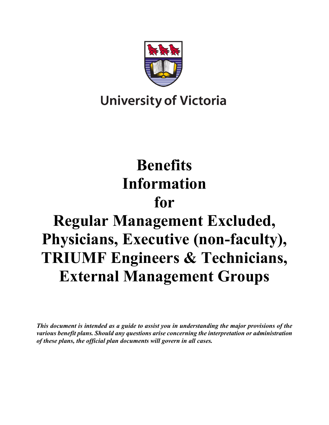

## **University of Victoria**

# **Benefits Information**

## **for**

# **Regular Management Excluded, Physicians, Executive (non-faculty), TRIUMF Engineers & Technicians, External Management Groups**

*This document is intended as a guide to assist you in understanding the major provisions of the various benefit plans. Should any questions arise concerning the interpretation or administration of these plans, the official plan documents will govern in all cases.*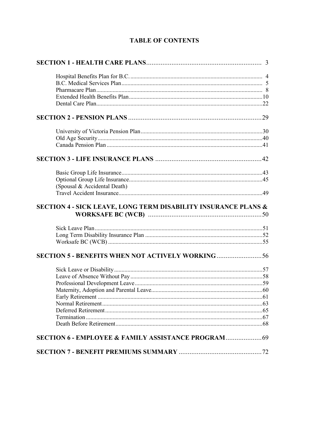| (Spousal & Accidental Death)                                   |  |
|----------------------------------------------------------------|--|
| SECTION 4 - SICK LEAVE, LONG TERM DISABILITY INSURANCE PLANS & |  |
|                                                                |  |
| <b>SECTION 5 - BENEFITS WHEN NOT ACTIVELY WORKING</b> 56       |  |
|                                                                |  |
| <b>SECTION 6 - EMPLOYEE &amp; FAMILY ASSISTANCE PROGRAM</b> 69 |  |
|                                                                |  |

#### **TABLE OF CONTENTS**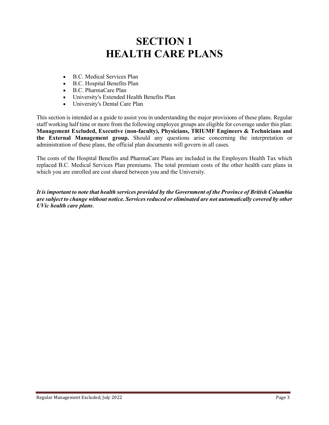### **SECTION 1 HEALTH CARE PLANS**

- B.C. Medical Services Plan
- B.C. Hospital Benefits Plan
- B.C. PharmaCare Plan
- University's Extended Health Benefits Plan
- University's Dental Care Plan

This section is intended as a guide to assist you in understanding the major provisions of these plans. Regular staff working half time or more from the following employee groups are eligible for coverage under this plan: **Management Excluded, Executive (non-faculty), Physicians, TRIUMF Engineers & Technicians and the External Management group.** Should any questions arise concerning the interpretation or administration of these plans, the official plan documents will govern in all cases.

The costs of the Hospital Benefits and PharmaCare Plans are included in the Employers Health Tax which replaced B.C. Medical Services Plan premiums. The total premium costs of the other health care plans in which you are enrolled are cost shared between you and the University.

*It is important to note that health services provided by the Government of the Province of British Columbia are subject to change without notice. Services reduced or eliminated are not automatically covered by other UVic health care plans*.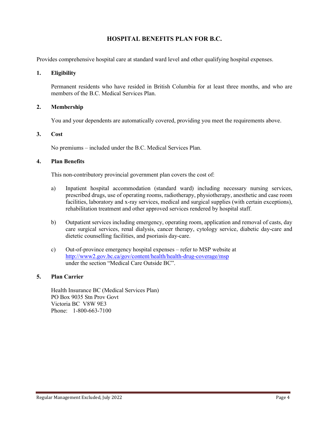#### **HOSPITAL BENEFITS PLAN FOR B.C.**

Provides comprehensive hospital care at standard ward level and other qualifying hospital expenses.

#### **1. Eligibility**

Permanent residents who have resided in British Columbia for at least three months, and who are members of the B.C. Medical Services Plan.

#### **2. Membership**

You and your dependents are automatically covered, providing you meet the requirements above.

#### **3. Cost**

No premiums – included under the B.C. Medical Services Plan.

#### **4. Plan Benefits**

This non-contributory provincial government plan covers the cost of:

- a) Inpatient hospital accommodation (standard ward) including necessary nursing services, prescribed drugs, use of operating rooms, radiotherapy, physiotherapy, anesthetic and case room facilities, laboratory and x-ray services, medical and surgical supplies (with certain exceptions), rehabilitation treatment and other approved services rendered by hospital staff.
- b) Outpatient services including emergency, operating room, application and removal of casts, day care surgical services, renal dialysis, cancer therapy, cytology service, diabetic day-care and dietetic counselling facilities, and psoriasis day-care.
- c) Out-of-province emergency hospital expenses refer to MSP website at <http://www2.gov.bc.ca/gov/content/health/health-drug-coverage/msp> under the section "Medical Care Outside BC".

#### **5. Plan Carrier**

Health Insurance BC (Medical Services Plan) PO Box 9035 Stn Prov Govt Victoria BC V8W 9E3 Phone: 1-800-663-7100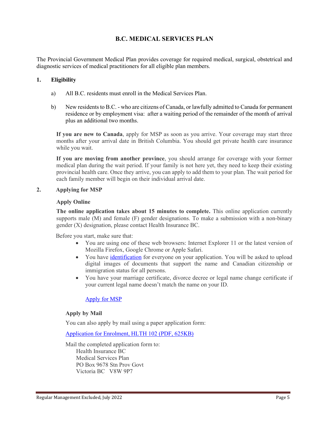#### **B.C. MEDICAL SERVICES PLAN**

The Provincial Government Medical Plan provides coverage for required medical, surgical, obstetrical and diagnostic services of medical practitioners for all eligible plan members.

#### **1. Eligibility**

- a) All B.C. residents must enroll in the Medical Services Plan.
- b) New residents to B.C. who are citizens of Canada, or lawfully admitted to Canada for permanent residence or by employment visa: after a waiting period of the remainder of the month of arrival plus an additional two months.

**If you are new to Canada**, apply for MSP as soon as you arrive. Your coverage may start three months after your arrival date in British Columbia. You should get private health care insurance while you wait.

**If you are moving from another province**, you should arrange for coverage with your former medical plan during the wait period. If your family is not here yet, they need to keep their existing provincial health care. Once they arrive, you can apply to add them to your plan. The wait period for each family member will begin on their individual arrival date.

#### **2. Applying for MSP**

#### **Apply Online**

**The online application takes about 15 minutes to complete.** This online application currently supports male (M) and female (F) gender designations. To make a submission with a non-binary gender (X) designation, please contact Health Insurance BC.

Before you start, make sure that:

- You are using one of these web browsers: Internet Explorer 11 or the latest version of Mozilla Firefox, Google Chrome or Apple Safari.
- You have [identification](https://www2.gov.bc.ca/gov/content/health/health-drug-coverage/msp/bc-residents/eligibility-and-enrolment/how-to-enrol/id-requirements) for everyone on your application. You will be asked to upload digital images of documents that support the name and Canadian citizenship or immigration status for all persons.
- You have your marriage certificate, divorce decree or legal name change certificate if your current legal name doesn't match the name on your ID.

#### [Apply for MSP](https://my.gov.bc.ca/msp/application)

#### **Apply by Mail**

You can also apply by mail using a paper application form:

[Application for Enrolment, HLTH 102 \(PDF, 625KB\)](http://www2.gov.bc.ca/assets/gov/health/forms/102fil.pdf)

Mail the completed application form to: Health Insurance BC Medical Services Plan PO Box 9678 Stn Prov Govt Victoria BC V8W 9P7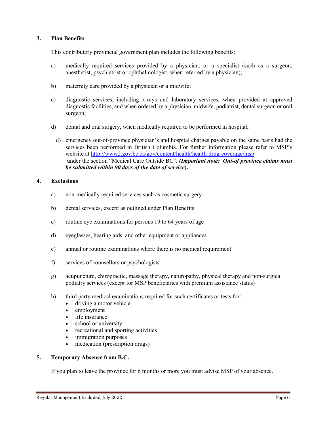#### **3. Plan Benefits**

This contributory provincial government plan includes the following benefits:

- a) medically required services provided by a physician, or a specialist (such as a surgeon, anesthetist, psychiatrist or ophthalmologist, when referred by a physician);
- b) maternity care provided by a physician or a midwife;
- c) diagnostic services, including x-rays and laboratory services, when provided at approved diagnostic facilities, and when ordered by a physician, midwife, podiatrist, dental surgeon or oral surgeon;
- d) dental and oral surgery, when medically required to be performed in hospital;
	- d) emergency out-of-province physician's and hospital charges payable on the same basis had the services been performed in British Columbia. For further information please refer to MSP's website at<http://www2.gov.bc.ca/gov/content/health/health-drug-coverage/msp> under the section "Medical Care Outside BC". *(Important note: Out-of province claims must be submitted within 90 days of the date of service***).**

#### **4. Exclusions**

- a) non-medically required services such as cosmetic surgery
- b) dental services, except as outlined under Plan Benefits
- c) routine eye examinations for persons 19 to 64 years of age
- d) eyeglasses, hearing aids, and other equipment or appliances
- e) annual or routine examinations where there is no medical requirement
- f) services of counsellors or psychologists
- g) acupuncture, chiropractic, massage therapy, naturopathy, physical therapy and non-surgical podiatry services (except for MSP beneficiaries with premium assistance status)
- h) third party medical examinations required for such certificates or tests for:
	- driving a motor vehicle
	- employment
	- life insurance
	- school or university
	- recreational and sporting activities
	- immigration purposes
	- medication (prescription drugs)

#### **5. Temporary Absence from B.C.**

If you plan to leave the province for 6 months or more you must advise MSP of your absence.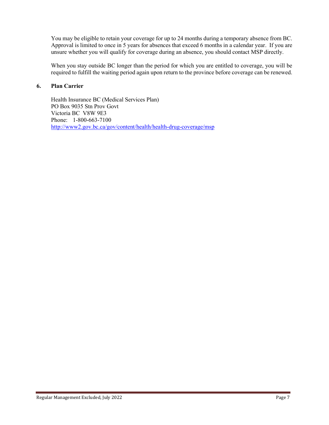You may be eligible to retain your coverage for up to 24 months during a temporary absence from BC. Approval is limited to once in 5 years for absences that exceed 6 months in a calendar year. If you are unsure whether you will qualify for coverage during an absence, you should contact MSP directly.

When you stay outside BC longer than the period for which you are entitled to coverage, you will be required to fulfill the waiting period again upon return to the province before coverage can be renewed.

#### **6. Plan Carrier**

Health Insurance BC (Medical Services Plan) PO Box 9035 Stn Prov Govt Victoria BC V8W 9E3 Phone: 1-800-663-7100 <http://www2.gov.bc.ca/gov/content/health/health-drug-coverage/msp>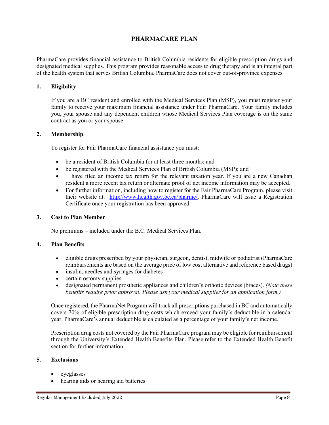#### **PHARMACARE PLAN**

PharmaCare provides financial assistance to British Columbia residents for eligible prescription drugs and designated medical supplies. This program provides reasonable access to drug therapy and is an integral part of the health system that serves British Columbia. PharmaCare does not cover out-of-province expenses.

#### **1. Eligibility**

If you are a BC resident and enrolled with the Medical Services Plan (MSP), you must register your family to receive your maximum financial assistance under Fair PharmaCare. Your family includes you, your spouse and any dependent children whose Medical Services Plan coverage is on the same contract as you or your spouse.

#### **2. Membership**

To register for Fair PharmaCare financial assistance you must:

- be a resident of British Columbia for at least three months; and
- be registered with the Medical Services Plan of British Columbia (MSP); and
- have filed an income tax return for the relevant taxation year. If you are a new Canadian resident a more recent tax return or alternate proof of net income information may be accepted.
- For further information, including how to register for the Fair PharmaCare Program, please visit their website at: [http://www.health.gov.bc.ca/pharme/.](http://www.health.gov.bc.ca/pharme/) PharmaCare will issue a Registration Certificate once your registration has been approved.

#### **3. Cost to Plan Member**

No premiums – included under the B.C. Medical Services Plan.

#### **4. Plan Benefits**

- eligible drugs prescribed by your physician, surgeon, dentist, midwife or podiatrist (PharmaCare reimbursements are based on the average price of low cost alternative and reference based drugs)
- insulin, needles and syringes for diabetes
- certain ostomy supplies
- designated permanent prosthetic appliances and children's orthotic devices (braces). *(Note these benefits require prior approval. Please ask your medical supplier for an application form.)*

Once registered, the PharmaNet Program will track all prescriptions purchased in BC and automatically covers 70% of eligible prescription drug costs which exceed your family's deductible in a calendar year. PharmaCare's annual deductible is calculated as a percentage of your family's net income.

Prescription drug costs not covered by the Fair PharmaCare program may be eligible for reimbursement through the University's Extended Health Benefits Plan. Please refer to the Extended Health Benefit section for further information.

#### **5. Exclusions**

- eyeglasses
- hearing aids or hearing aid batteries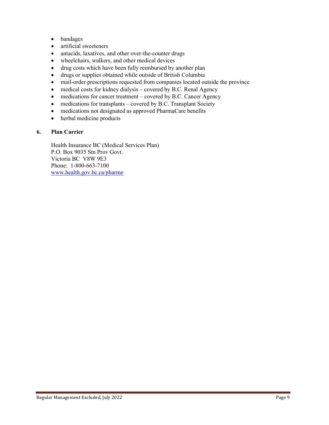- bandages
- artificial sweeteners
- antacids, laxatives, and other over-the-counter drugs
- wheelchairs, walkers, and other medical devices
- drug costs which have been fully reimbursed by another plan
- drugs or supplies obtained while outside of British Columbia
- mail-order prescriptions requested from companies located outside the province
- medical costs for kidney dialysis covered by B.C. Renal Agency
- medications for cancer treatment covered by B.C. Cancer Agency
- medications for transplants covered by B.C. Transplant Society
- medications not designated as approved PharmaCare benefits
- herbal medicine products

#### **6. Plan Carrier**

Health Insurance BC (Medical Services Plan) P.O. Box 9035 Stn Prov Govt. Victoria BC V8W 9E3 Phone: 1-800-663-7100 [www.health.gov.bc.ca/pharme](http://www.health.gov.bc.ca/pharme)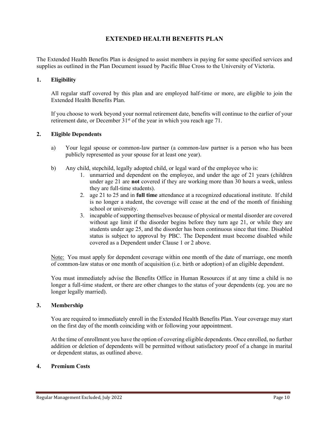#### **EXTENDED HEALTH BENEFITS PLAN**

The Extended Health Benefits Plan is designed to assist members in paying for some specified services and supplies as outlined in the Plan Document issued by Pacific Blue Cross to the University of Victoria.

#### **1. Eligibility**

All regular staff covered by this plan and are employed half-time or more, are eligible to join the Extended Health Benefits Plan.

If you choose to work beyond your normal retirement date, benefits will continue to the earlier of your retirement date, or December  $31<sup>st</sup>$  of the year in which you reach age 71.

#### **2. Eligible Dependents**

- a) Your legal spouse or common-law partner (a common-law partner is a person who has been publicly represented as your spouse for at least one year).
- b) Any child, stepchild, legally adopted child, or legal ward of the employee who is:
	- 1. unmarried and dependent on the employee, and under the age of 21 years (children under age 21 are **not** covered if they are working more than 30 hours a week, unless they are full-time students).
	- 2. age 21 to 25 and in **full time** attendance at a recognized educational institute. If child is no longer a student, the coverage will cease at the end of the month of finishing school or university.
	- 3. incapable of supporting themselves because of physical or mental disorder are covered without age limit if the disorder begins before they turn age 21, or while they are students under age 25, and the disorder has been continuous since that time. Disabled status is subject to approval by PBC. The Dependent must become disabled while covered as a Dependent under Clause 1 or 2 above.

Note: You must apply for dependent coverage within one month of the date of marriage, one month of common-law status or one month of acquisition (i.e. birth or adoption) of an eligible dependent.

You must immediately advise the Benefits Office in Human Resources if at any time a child is no longer a full-time student, or there are other changes to the status of your dependents (eg. you are no longer legally married).

#### **3. Membership**

You are required to immediately enroll in the Extended Health Benefits Plan. Your coverage may start on the first day of the month coinciding with or following your appointment.

At the time of enrollment you have the option of covering eligible dependents. Once enrolled, no further addition or deletion of dependents will be permitted without satisfactory proof of a change in marital or dependent status, as outlined above.

#### **4. Premium Costs**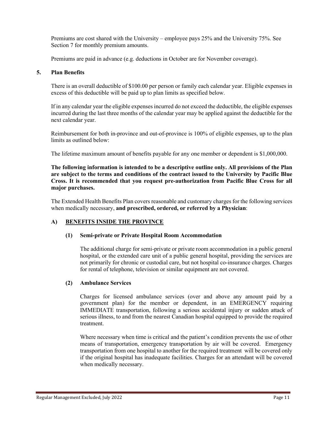Premiums are cost shared with the University – employee pays 25% and the University 75%. See Section 7 for monthly premium amounts.

Premiums are paid in advance (e.g. deductions in October are for November coverage).

#### **5. Plan Benefits**

There is an overall deductible of \$100.00 per person or family each calendar year. Eligible expenses in excess of this deductible will be paid up to plan limits as specified below.

If in any calendar year the eligible expenses incurred do not exceed the deductible, the eligible expenses incurred during the last three months of the calendar year may be applied against the deductible for the next calendar year.

Reimbursement for both in-province and out-of-province is 100% of eligible expenses, up to the plan limits as outlined below:

The lifetime maximum amount of benefits payable for any one member or dependent is \$1,000,000.

**The following information is intended to be a descriptive outline only. All provisions of the Plan are subject to the terms and conditions of the contract issued to the University by Pacific Blue Cross. It is recommended that you request pre-authorization from Pacific Blue Cross for all major purchases.**

The Extended Health Benefits Plan covers reasonable and customary charges for the following services when medically necessary, **and prescribed, ordered, or referred by a Physician**:

#### **A) BENEFITS INSIDE THE PROVINCE**

#### **(1) Semi-private or Private Hospital Room Accommodation**

The additional charge for semi-private or private room accommodation in a public general hospital, or the extended care unit of a public general hospital, providing the services are not primarily for chronic or custodial care, but not hospital co-insurance charges. Charges for rental of telephone, television or similar equipment are not covered.

#### **(2) Ambulance Services**

Charges for licensed ambulance services (over and above any amount paid by a government plan) for the member or dependent, in an EMERGENCY requiring IMMEDIATE transportation, following a serious accidental injury or sudden attack of serious illness, to and from the nearest Canadian hospital equipped to provide the required treatment.

Where necessary when time is critical and the patient's condition prevents the use of other means of transportation, emergency transportation by air will be covered. Emergency transportation from one hospital to another for the required treatment will be covered only if the original hospital has inadequate facilities. Charges for an attendant will be covered when medically necessary.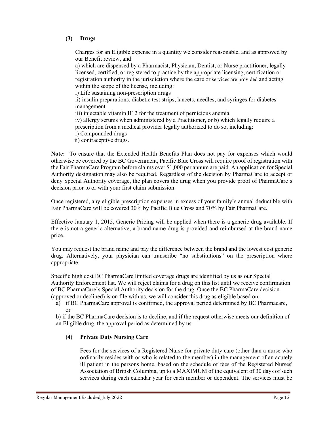#### **(3) Drugs**

Charges for an Eligible expense in a quantity we consider reasonable, and as approved by our Benefit review, and

a) which are dispensed by a Pharmacist, Physician, Dentist, or Nurse practitioner, legally licensed, certified, or registered to practice by the appropriate licensing, certification or registration authority in the jurisdiction where the care or services are provided and acting within the scope of the license, including:

i) Life sustaining non-prescription drugs

ii) insulin preparations, diabetic test strips, lancets, needles, and syringes for diabetes management

iii) injectable vitamin B12 for the treatment of pernicious anemia

iv) allergy serums when administered by a Practitioner, or b) which legally require a prescription from a medical provider legally authorized to do so, including:

i) Compounded drugs

ii) contraceptive drugs.

**Note:** To ensure that the Extended Health Benefits Plan does not pay for expenses which would otherwise be covered by the BC Government, Pacific Blue Cross will require proof of registration with the Fair PharmaCare Program before claims over \$1,000 per annum are paid. An application for Special Authority designation may also be required. Regardless of the decision by PharmaCare to accept or deny Special Authority coverage, the plan covers the drug when you provide proof of PharmaCare's decision prior to or with your first claim submission.

Once registered, any eligible prescription expenses in excess of your family's annual deductible with Fair PharmaCare will be covered 30% by Pacific Blue Cross and 70% by Fair PharmaCare.

Effective January 1, 2015, Generic Pricing will be applied when there is a generic drug available. If there is not a generic alternative, a brand name drug is provided and reimbursed at the brand name price.

You may request the brand name and pay the difference between the brand and the lowest cost generic drug. Alternatively, your physician can transcribe "no substitutions" on the prescription where appropriate.

Specific high cost BC PharmaCare limited coverage drugs are identified by us as our Special Authority Enforcement list. We will reject claims for a drug on this list until we receive confirmation of BC PharmaCare's Special Authority decision for the drug. Once the BC PharmaCare decision (approved or declined) is on file with us, we will consider this drug as eligible based on:

a) if BC PharmaCare approval is confirmed, the approval period determined by BC Pharmacare, or

b) if the BC PharmaCare decision is to decline, and if the request otherwise meets our definition of an Eligible drug, the approval period as determined by us.

#### **(4) Private Duty Nursing Care**

Fees for the services of a Registered Nurse for private duty care (other than a nurse who ordinarily resides with or who is related to the member) in the management of an acutely ill patient in the persons home, based on the schedule of fees of the Registered Nurses' Association of British Columbia, up to a MAXIMUM of the equivalent of 30 days of such services during each calendar year for each member or dependent. The services must be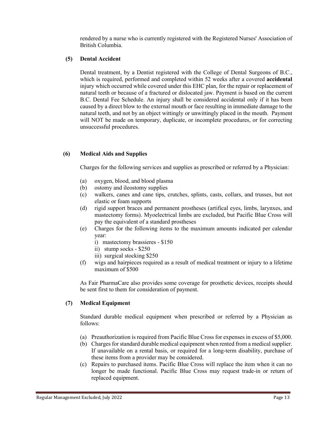rendered by a nurse who is currently registered with the Registered Nurses' Association of British Columbia.

#### **(5) Dental Accident**

Dental treatment, by a Dentist registered with the College of Dental Surgeons of B.C., which is required, performed and completed within 52 weeks after a covered **accidental** injury which occurred while covered under this EHC plan, for the repair or replacement of natural teeth or because of a fractured or dislocated jaw. Payment is based on the current B.C. Dental Fee Schedule. An injury shall be considered accidental only if it has been caused by a direct blow to the external mouth or face resulting in immediate damage to the natural teeth, and not by an object wittingly or unwittingly placed in the mouth. Payment will NOT be made on temporary, duplicate, or incomplete procedures, or for correcting unsuccessful procedures.

#### **(6) Medical Aids and Supplies**

Charges for the following services and supplies as prescribed or referred by a Physician:

- (a) oxygen, blood, and blood plasma
- (b) ostomy and ileostomy supplies
- (c) walkers, canes and cane tips, crutches, splints, casts, collars, and trusses, but not elastic or foam supports
- (d) rigid support braces and permanent prostheses (artifical eyes, limbs, larynxes, and mastectomy forms). Myoelectrical limbs are excluded, but Pacific Blue Cross will pay the equivalent of a standard prostheses
- (e) Charges for the following items to the maximum amounts indicated per calendar year:
	- i) mastectomy brassieres \$150
	- ii) stump socks \$250
	- iii) surgical stocking \$250
- (f) wigs and hairpieces required as a result of medical treatment or injury to a lifetime maximum of \$500

As Fair PharmaCare also provides some coverage for prosthetic devices, receipts should be sent first to them for consideration of payment.

#### **(7) Medical Equipment**

Standard durable medical equipment when prescribed or referred by a Physician as follows:

- (a) Preauthorization is required from Pacific Blue Cross for expenses in excess of \$5,000.
- (b) Charges for standard durable medical equipment when rented from a medical supplier. If unavailable on a rental basis, or required for a long-term disability, purchase of these items from a provider may be considered.
- (c) Repairs to purchased items. Pacific Blue Cross will replace the item when it can no longer be made functional. Pacific Blue Cross may request trade-in or return of replaced equipment.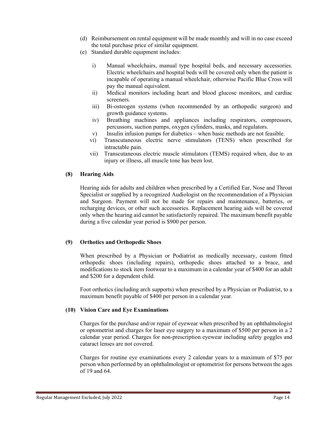- (d) Reimbursement on rental equipment will be made monthly and will in no case exceed the total purchase price of similar equipment.
- (e) Standard durable equipment includes:
	- i) Manual wheelchairs, manual type hospital beds, and necessary accessories. Electric wheelchairs and hospital beds will be covered only when the patient is incapable of operating a manual wheelchair, otherwise Pacific Blue Cross will pay the manual equivalent.
	- ii) Medical monitors including heart and blood glucose monitors, and cardiac screeners.
	- iii) Bi-osteogen systems (when recommended by an orthopedic surgeon) and growth guidance systems.
	- iv) Breathing machines and appliances including respirators, compressors, percussors, suction pumps, oxygen cylinders, masks, and regulators.
	- v) Insulin infusion pumps for diabetics when basic methods are not feasible.
	- vi) Transcutaneous electric nerve stimulators (TENS) when prescribed for intractable pain.
	- vii) Transcutaneous electric muscle stimulators (TEMS) required when, due to an injury or illness, all muscle tone has been lost.

#### **(8) Hearing Aids**

Hearing aids for adults and children when prescribed by a Certified Ear, Nose and Throat Specialist or supplied by a recognized Audiologist on the recommendation of a Physician and Surgeon. Payment will not be made for repairs and maintenance, batteries, or recharging devices, or other such accessories. Replacement hearing aids will be covered only when the hearing aid cannot be satisfactorily repaired. The maximum benefit payable during a five calendar year period is \$900 per person.

#### **(9) Orthotics and Orthopedic Shoes**

When prescribed by a Physician or Podiatrist as medically necessary, custom fitted orthopedic shoes (including repairs), orthopedic shoes attached to a brace, and modifications to stock item footwear to a maximum in a calendar year of \$400 for an adult and \$200 for a dependent child.

Foot orthotics (including arch supports) when prescribed by a Physician or Podiatrist, to a maximum benefit payable of \$400 per person in a calendar year.

#### **(10) Vision Care and Eye Examinations**

Charges for the purchase and/or repair of eyewear when prescribed by an ophthalmologist or optometrist and charges for laser eye surgery to a maximum of \$500 per person in a 2 calendar year period. Charges for non-prescription eyewear including safety goggles and cataract lenses are not covered.

Charges for routine eye examinations every 2 calendar years to a maximum of \$75 per person when performed by an ophthalmologist or optometrist for persons between the ages of 19 and 64.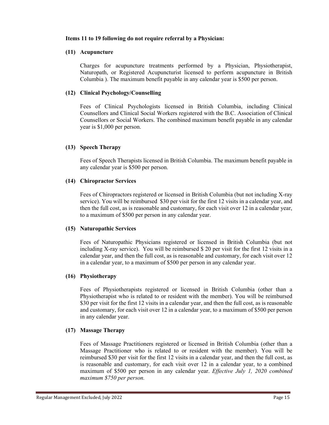#### **Items 11 to 19 following do not require referral by a Physician:**

#### **(11) Acupuncture**

Charges for acupuncture treatments performed by a Physician, Physiotherapist, Naturopath, or Registered Acupuncturist licensed to perform acupuncture in British Columbia ). The maximum benefit payable in any calendar year is \$500 per person.

#### **(12) Clinical Psychology/Counselling**

Fees of Clinical Psychologists licensed in British Columbia, including Clinical Counsellors and Clinical Social Workers registered with the B.C. Association of Clinical Counsellors or Social Workers. The combined maximum benefit payable in any calendar year is \$1,000 per person.

#### **(13) Speech Therapy**

Fees of Speech Therapists licensed in British Columbia. The maximum benefit payable in any calendar year is \$500 per person.

#### **(14) Chiropractor Services**

Fees of Chiropractors registered or licensed in British Columbia (but not including X-ray service). You will be reimbursed \$30 per visit for the first 12 visits in a calendar year, and then the full cost, as is reasonable and customary, for each visit over 12 in a calendar year, to a maximum of \$500 per person in any calendar year.

#### **(15) Naturopathic Services**

Fees of Naturopathic Physicians registered or licensed in British Columbia (but not including X-ray service). You will be reimbursed \$ 20 per visit for the first 12 visits in a calendar year, and then the full cost, as is reasonable and customary, for each visit over 12 in a calendar year, to a maximum of \$500 per person in any calendar year.

#### **(16) Physiotherapy**

Fees of Physiotherapists registered or licensed in British Columbia (other than a Physiotherapist who is related to or resident with the member). You will be reimbursed \$30 per visit for the first 12 visits in a calendar year, and then the full cost, as is reasonable and customary, for each visit over 12 in a calendar year, to a maximum of \$500 per person in any calendar year.

#### **(17) Massage Therapy**

Fees of Massage Practitioners registered or licensed in British Columbia (other than a Massage Practitioner who is related to or resident with the member). You will be reimbursed \$30 per visit for the first 12 visits in a calendar year, and then the full cost, as is reasonable and customary, for each visit over 12 in a calendar year, to a combined maximum of \$500 per person in any calendar year. *Effective July 1, 2020 combined maximum \$750 per person.*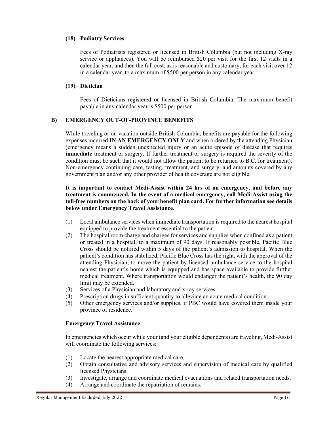#### **(18) Podiatry Services**

Fees of Podiatrists registered or licensed in British Columbia (but not including X-ray service or appliances). You will be reimbursed \$20 per visit for the first 12 visits in a calendar year, and then the full cost, as is reasonable and customary, for each visit over 12 in a calendar year, to a maximum of \$500 per person in any calendar year.

#### **(19) Dietician**

Fees of Dieticians registered or licensed in British Columbia. The maximum benefit payable in any calendar year is \$500 per person.

#### **B) EMERGENCY OUT-OF-PROVINCE BENEFITS**

While traveling or on vacation outside British Columbia, benefits are payable for the following expenses incurred **IN AN EMERGENCY ONLY** and when ordered by the attending Physician (emergency means a sudden unexpected injury or an acute episode of disease that requires **immediate** treatment or surgery. If further treatment or surgery is required the severity of the condition must be such that it would not allow the patient to be returned to B.C. for treatment). Non-emergency continuing care, testing, treatment, and surgery, and amounts covered by any government plan and/or any other provider of health coverage are not eligible.

#### **It is important to contact Medi-Assist within 24 hrs of an emergency, and before any treatment is commenced. In the event of a medical emergency, call Medi-Assist using the toll-free numbers on the back of your benefit plan card. For further information see details below under Emergency Travel Assistance.**

- (1) Local ambulance services when immediate transportation is required to the nearest hospital equipped to provide the treatment essential to the patient.
- (2) The hospital room charge and charges for services and supplies when confined as a patient or treated in a hospital, to a maximum of 90 days. If reasonably possible, Pacific Blue Cross should be notified within 5 days of the patient's admission to hospital. When the patient's condition has stabilized, Pacific Blue Cross has the right, with the approval of the attending Physician, to move the patient by licensed ambulance service to the hospital nearest the patient's home which is equipped and has space available to provide further medical treatment. Where transportation would endanger the patient's health, the 90 day limit may be extended.
- (3) Services of a Physician and laboratory and x-ray services.
- (4) Prescription drugs in sufficient quantity to alleviate an acute medical condition.
- (5) Other emergency services and/or supplies, if PBC would have covered them inside your province of residence.

#### **Emergency Travel Assistance**

In emergencies which occur while your (and your eligible dependents) are traveling, Medi-Assist will coordinate the following services:

- (1) Locate the nearest appropriate medical care.
- (2) Obtain consultative and advisory services and supervision of medical care by qualified licensed Physicians.
- (3) Investigate, arrange and coordinate medical evacuations and related transportation needs.
- (4) Arrange and coordinate the repatriation of remains.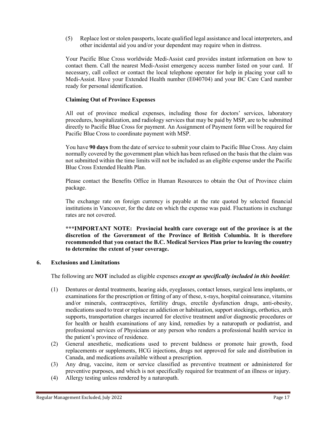(5) Replace lost or stolen passports, locate qualified legal assistance and local interpreters, and other incidental aid you and/or your dependent may require when in distress.

Your Pacific Blue Cross worldwide Medi-Assist card provides instant information on how to contact them. Call the nearest Medi-Assist emergency access number listed on your card. If necessary, call collect or contact the local telephone operator for help in placing your call to Medi-Assist. Have your Extended Health number (E040704) and your BC Care Card number ready for personal identification.

#### **Claiming Out of Province Expenses**

All out of province medical expenses, including those for doctors' services, laboratory procedures, hospitalization, and radiology services that may be paid by MSP, are to be submitted directly to Pacific Blue Cross for payment. An Assignment of Payment form will be required for Pacific Blue Cross to coordinate payment with MSP.

You have **90 days** from the date of service to submit your claim to Pacific Blue Cross. Any claim normally covered by the government plan which has been refused on the basis that the claim was not submitted within the time limits will not be included as an eligible expense under the Pacific Blue Cross Extended Health Plan.

Please contact the Benefits Office in Human Resources to obtain the Out of Province claim package.

The exchange rate on foreign currency is payable at the rate quoted by selected financial institutions in Vancouver, for the date on which the expense was paid. Fluctuations in exchange rates are not covered.

**\*\*\*IMPORTANT NOTE: Provincial health care coverage out of the province is at the discretion of the Government of the Province of British Columbia. It is therefore recommended that you contact the B.C. Medical Services Plan prior to leaving the country to determine the extent of your coverage.**

#### **6. Exclusions and Limitations**

The following are **NOT** included as eligible expenses *except as specifically included in this booklet*:

- (1) Dentures or dental treatments, hearing aids, eyeglasses, contact lenses, surgical lens implants, or examinations for the prescription or fitting of any of these, x-rays, hospital coinsurance, vitamins and/or minerals, contraceptives, fertility drugs, erectile dysfunction drugs, anti-obesity, medications used to treat or replace an addiction or habituation, support stockings, orthotics, arch supports, transportation charges incurred for elective treatment and/or diagnostic procedures or for health or health examinations of any kind, remedies by a naturopath or podiatrist, and professional services of Physicians or any person who renders a professional health service in the patient's province of residence.
- (2) General anesthetic, medications used to prevent baldness or promote hair growth, food replacements or supplements, HCG injections, drugs not approved for sale and distribution in Canada, and medications available without a prescription.
- (3) Any drug, vaccine, item or service classified as preventive treatment or administered for preventive purposes, and which is not specifically required for treatment of an illness or injury.
- (4) Allergy testing unless rendered by a naturopath.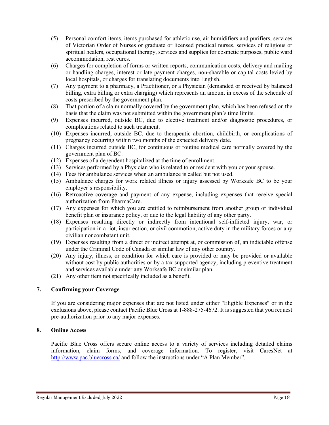- (5) Personal comfort items, items purchased for athletic use, air humidifiers and purifiers, services of Victorian Order of Nurses or graduate or licensed practical nurses, services of religious or spiritual healers, occupational therapy, services and supplies for cosmetic purposes, public ward accommodation, rest cures.
- (6) Charges for completion of forms or written reports, communication costs, delivery and mailing or handling charges, interest or late payment charges, non-sharable or capital costs levied by local hospitals, or charges for translating documents into English.
- (7) Any payment to a pharmacy, a Practitioner, or a Physician (demanded or received by balanced billing, extra billing or extra charging) which represents an amount in excess of the schedule of costs prescribed by the government plan.
- (8) That portion of a claim normally covered by the government plan, which has been refused on the basis that the claim was not submitted within the government plan's time limits.
- (9) Expenses incurred, outside BC, due to elective treatment and/or diagnostic procedures, or complications related to such treatment.
- (10) Expenses incurred, outside BC, due to therapeutic abortion, childbirth, or complications of pregnancy occurring within two months of the expected delivery date.
- (11) Charges incurred outside BC, for continuous or routine medical care normally covered by the government plan of BC.
- (12) Expenses of a dependent hospitalized at the time of enrollment.
- (13) Services performed by a Physician who is related to or resident with you or your spouse.
- (14) Fees for ambulance services when an ambulance is called but not used.
- (15) Ambulance charges for work related illness or injury assessed by Worksafe BC to be your employer's responsibility.
- (16) Retroactive coverage and payment of any expense, including expenses that receive special authorization from PharmaCare.
- (17) Any expenses for which you are entitled to reimbursement from another group or individual benefit plan or insurance policy, or due to the legal liability of any other party.
- (18) Expenses resulting directly or indirectly from intentional self-inflicted injury, war, or participation in a riot, insurrection, or civil commotion, active duty in the military forces or any civilian noncombatant unit.
- (19) Expenses resulting from a direct or indirect attempt at, or commission of, an indictable offense under the Criminal Code of Canada or similar law of any other country.
- (20) Any injury, illness, or condition for which care is provided or may be provided or available without cost by public authorities or by a tax supported agency, including preventive treatment and services available under any Worksafe BC or similar plan.
- (21) Any other item not specifically included as a benefit.

#### **7. Confirming your Coverage**

If you are considering major expenses that are not listed under either "Eligible Expenses" or in the exclusions above, please contact Pacific Blue Cross at 1-888-275-4672. It is suggested that you request pre-authorization prior to any major expenses.

#### **8. Online Access**

Pacific Blue Cross offers secure online access to a variety of services including detailed claims information, claim forms, and coverage information. To register, visit CaresNet at <http://www.pac.bluecross.ca/> and follow the instructions under "A Plan Member".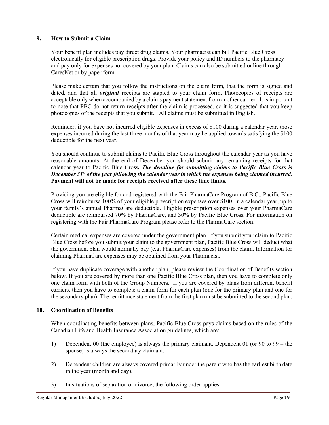#### **9. How to Submit a Claim**

Your benefit plan includes pay direct drug claims. Your pharmacist can bill Pacific Blue Cross electronically for eligible prescription drugs. Provide your policy and ID numbers to the pharmacy and pay only for expenses not covered by your plan. Claims can also be submitted online through CaresNet or by paper form.

Please make certain that you follow the instructions on the claim form, that the form is signed and dated, and that all *original* receipts are stapled to your claim form. Photocopies of receipts are acceptable only when accompanied by a claims payment statement from another carrier. It is important to note that PBC do not return receipts after the claim is processed, so it is suggested that you keep photocopies of the receipts that you submit. All claims must be submitted in English.

Reminder, if you have not incurred eligible expenses in excess of \$100 during a calendar year, those expenses incurred during the last three months of that year may be applied towards satisfying the \$100 deductible for the next year.

You should continue to submit claims to Pacific Blue Cross throughout the calendar year as you have reasonable amounts. At the end of December you should submit any remaining receipts for that calendar year to Pacific Blue Cross*. The deadline for submitting claims to Pacific Blue Cross is December 31st of the year following the calendar year in which the expenses being claimed incurred*. **Payment will not be made for receipts received after these time limits.**

Providing you are eligible for and registered with the Fair PharmaCare Program of B.C., Pacific Blue Cross will reimburse 100% of your eligible prescription expenses over \$100 in a calendar year, up to your family's annual PharmaCare deductible. Eligible prescription expenses over your PharmaCare deductible are reimbursed 70% by PharmaCare, and 30% by Pacific Blue Cross. For information on registering with the Fair PharmaCare Program please refer to the PharmaCare section.

Certain medical expenses are covered under the government plan. If you submit your claim to Pacific Blue Cross before you submit your claim to the government plan, Pacific Blue Cross will deduct what the government plan would normally pay (e.g. PharmaCare expenses) from the claim. Information for claiming PharmaCare expenses may be obtained from your Pharmacist.

If you have duplicate coverage with another plan, please review the Coordination of Benefits section below. If you are covered by more than one Pacific Blue Cross plan, then you have to complete only one claim form with both of the Group Numbers. If you are covered by plans from different benefit carriers, then you have to complete a claim form for each plan (one for the primary plan and one for the secondary plan). The remittance statement from the first plan must be submitted to the second plan.

#### **10. Coordination of Benefits**

When coordinating benefits between plans, Pacific Blue Cross pays claims based on the rules of the Canadian Life and Health Insurance Association guidelines, which are:

- 1) Dependent 00 (the employee) is always the primary claimant. Dependent 01 (or 90 to 99 the spouse) is always the secondary claimant.
- 2) Dependent children are always covered primarily under the parent who has the earliest birth date in the year (month and day).
- 3) In situations of separation or divorce, the following order applies: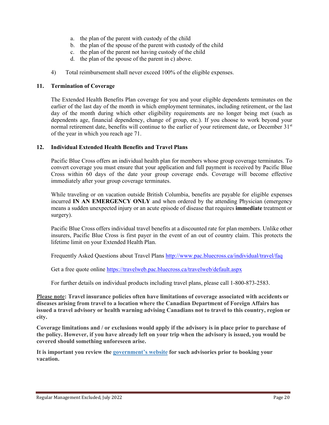- a. the plan of the parent with custody of the child
- b. the plan of the spouse of the parent with custody of the child
- c. the plan of the parent not having custody of the child
- d. the plan of the spouse of the parent in c) above.
- 4) Total reimbursement shall never exceed 100% of the eligible expenses.

#### **11. Termination of Coverage**

The Extended Health Benefits Plan coverage for you and your eligible dependents terminates on the earlier of the last day of the month in which employment terminates, including retirement, or the last day of the month during which other eligibility requirements are no longer being met (such as dependents age, financial dependency, change of group, etc.). If you choose to work beyond your normal retirement date, benefits will continue to the earlier of your retirement date, or December 31<sup>st</sup> of the year in which you reach age 71.

#### **12. Individual Extended Health Benefits and Travel Plans**

Pacific Blue Cross offers an individual health plan for members whose group coverage terminates. To convert coverage you must ensure that your application and full payment is received by Pacific Blue Cross within 60 days of the date your group coverage ends. Coverage will become effective immediately after your group coverage terminates.

While traveling or on vacation outside British Columbia, benefits are payable for eligible expenses incurred **IN AN EMERGENCY ONLY** and when ordered by the attending Physician (emergency means a sudden unexpected injury or an acute episode of disease that requires **immediate** treatment or surgery).

Pacific Blue Cross offers individual travel benefits at a discounted rate for plan members. Unlike other insurers, Pacific Blue Cross is first payer in the event of an out of country claim. This protects the lifetime limit on your Extended Health Plan.

Frequently Asked Questions about Travel Plans<http://www.pac.bluecross.ca/individual/travel/faq>

Get a free quote online<https://travelweb.pac.bluecross.ca/travelweb/default.aspx>

For further details on individual products including travel plans, please call 1-800-873-2583.

**Please note: Travel insurance policies often have limitations of coverage associated with accidents or diseases arising from travel to a location where the Canadian Department of Foreign Affairs has issued a travel advisory or health warning advising Canadians not to travel to this country, region or city.**

**Coverage limitations and / or exclusions would apply if the advisory is in place prior to purchase of the policy. However, if you have already left on your trip when the advisory is issued, you would be covered should something unforeseen arise.**

**It is important you review the [government's website](http://www.voyage.gc.ca/index-eng.asp) for such advisories prior to booking your vacation.**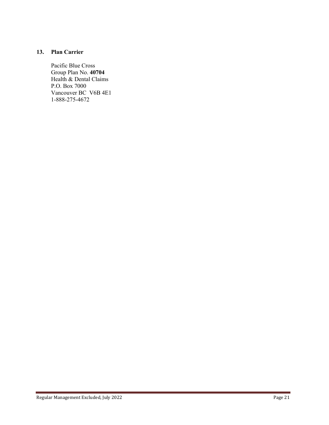#### **13. Plan Carrier**

Pacific Blue Cross Group Plan No. **40704** Health & Dental Claims P.O. Box 7000 Vancouver BC V6B 4E1 1-888-275-4672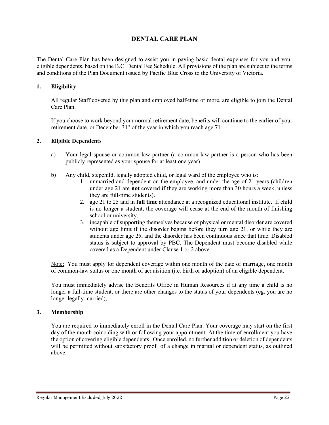#### **DENTAL CARE PLAN**

The Dental Care Plan has been designed to assist you in paying basic dental expenses for you and your eligible dependents, based on the B.C. Dental Fee Schedule. All provisions of the plan are subject to the terms and conditions of the Plan Document issued by Pacific Blue Cross to the University of Victoria.

#### **1. Eligibility**

All regular Staff covered by this plan and employed half-time or more, are eligible to join the Dental Care Plan.

If you choose to work beyond your normal retirement date, benefits will continue to the earlier of your retirement date, or December 31<sup>st</sup> of the year in which you reach age 71.

#### **2. Eligible Dependents**

- a) Your legal spouse or common-law partner (a common-law partner is a person who has been publicly represented as your spouse for at least one year).
- b) Any child, stepchild, legally adopted child, or legal ward of the employee who is:
	- 1. unmarried and dependent on the employee, and under the age of 21 years (children under age 21 are **not** covered if they are working more than 30 hours a week, unless they are full-time students).
	- 2. age 21 to 25 and in **full time** attendance at a recognized educational institute. If child is no longer a student, the coverage will cease at the end of the month of finishing school or university.
	- 3. incapable of supporting themselves because of physical or mental disorder are covered without age limit if the disorder begins before they turn age 21, or while they are students under age 25, and the disorder has been continuous since that time. Disabled status is subject to approval by PBC. The Dependent must become disabled while covered as a Dependent under Clause 1 or 2 above.

Note: You must apply for dependent coverage within one month of the date of marriage, one month of common-law status or one month of acquisition (i.e. birth or adoption) of an eligible dependent.

You must immediately advise the Benefits Office in Human Resources if at any time a child is no longer a full-time student, or there are other changes to the status of your dependents (eg. you are no longer legally married),

#### **3. Membership**

You are required to immediately enroll in the Dental Care Plan. Your coverage may start on the first day of the month coinciding with or following your appointment. At the time of enrollment you have the option of covering eligible dependents. Once enrolled, no further addition or deletion of dependents will be permitted without satisfactory proof of a change in marital or dependent status, as outlined above.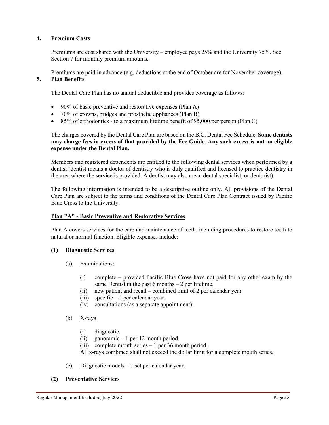#### **4. Premium Costs**

Premiums are cost shared with the University – employee pays 25% and the University 75%. See Section 7 for monthly premium amounts.

Premiums are paid in advance (e.g. deductions at the end of October are for November coverage).

#### **5. Plan Benefits**

The Dental Care Plan has no annual deductible and provides coverage as follows:

- 90% of basic preventive and restorative expenses (Plan A)
- 70% of crowns, bridges and prosthetic appliances (Plan B)
- 85% of orthodontics to a maximum lifetime benefit of \$5,000 per person (Plan C)

The charges covered by the Dental Care Plan are based on the B.C. Dental Fee Schedule. **Some dentists may charge fees in excess of that provided by the Fee Guide. Any such excess is not an eligible expense under the Dental Plan.**

Members and registered dependents are entitled to the following dental services when performed by a dentist (dentist means a doctor of dentistry who is duly qualified and licensed to practice dentistry in the area where the service is provided. A dentist may also mean dental specialist, or denturist).

The following information is intended to be a descriptive outline only. All provisions of the Dental Care Plan are subject to the terms and conditions of the Dental Care Plan Contract issued by Pacific Blue Cross to the University.

#### **Plan "A" - Basic Preventive and Restorative Services**

Plan A covers services for the care and maintenance of teeth, including procedures to restore teeth to natural or normal function. Eligible expenses include:

#### **(1) Diagnostic Services**

- (a) Examinations:
	- (i) complete provided Pacific Blue Cross have not paid for any other exam by the same Dentist in the past  $6$  months  $-2$  per lifetime.
	- (ii) new patient and recall combined limit of 2 per calendar year.
	- (iii) specific  $-2$  per calendar year.
	- (iv) consultations (as a separate appointment).

#### (b) X-rays

- (i) diagnostic.
- (ii) panoramic 1 per 12 month period.
- (iii) complete mouth series 1 per 36 month period.
- All x-rays combined shall not exceed the dollar limit for a complete mouth series.
- (c) Diagnostic models 1 set per calendar year.

#### (**2) Preventative Services**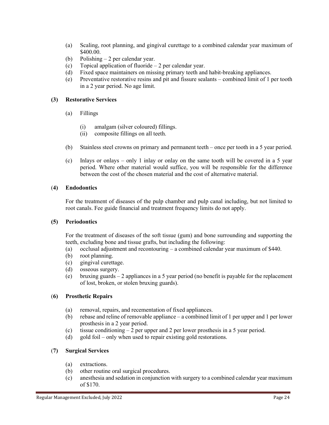- (a) Scaling, root planning, and gingival curettage to a combined calendar year maximum of \$400.00.
- (b) Polishing 2 per calendar year.
- (c) Topical application of fluoride 2 per calendar year.
- (d) Fixed space maintainers on missing primary teeth and habit-breaking appliances.
- (e) Preventative restorative resins and pit and fissure sealants combined limit of 1 per tooth in a 2 year period. No age limit.

#### **(3) Restorative Services**

- (a) Fillings
	- (i) amalgam (silver coloured) fillings.
	- (ii) composite fillings on all teeth.
- (b) Stainless steel crowns on primary and permanent teeth once per tooth in a 5 year period.
- (c) Inlays or onlays only 1 inlay or onlay on the same tooth will be covered in a 5 year period. Where other material would suffice, you will be responsible for the difference between the cost of the chosen material and the cost of alternative material.

#### (**4) Endodontics**

For the treatment of diseases of the pulp chamber and pulp canal including, but not limited to root canals. Fee guide financial and treatment frequency limits do not apply.

#### **(5) Periodontics**

For the treatment of diseases of the soft tissue (gum) and bone surrounding and supporting the teeth, excluding bone and tissue grafts, but including the following:

- (a) occlusal adjustment and recontouring a combined calendar year maximum of \$440.
- (b) root planning.
- (c) gingival curettage.
- (d) osseous surgery.
- (e) bruxing guards 2 appliances in a 5 year period (no benefit is payable for the replacement of lost, broken, or stolen bruxing guards).

#### (**6) Prosthetic Repairs**

- (a) removal, repairs, and recementation of fixed appliances.
- (b) rebase and reline of removable appliance a combined limit of 1 per upper and 1 per lower prosthesis in a 2 year period.
- (c) tissue conditioning 2 per upper and 2 per lower prosthesis in a 5 year period.
- (d) gold foil only when used to repair existing gold restorations.

#### (**7) Surgical Services**

- (a) extractions.
- (b) other routine oral surgical procedures.
- (c) anesthesia and sedation in conjunction with surgery to a combined calendar year maximum of \$170.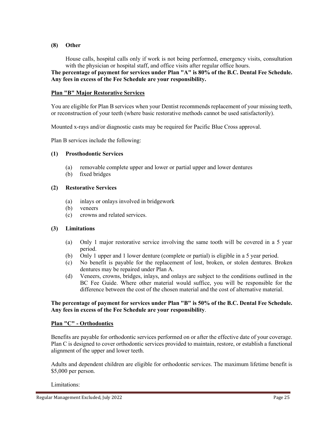#### **(8) Other**

House calls, hospital calls only if work is not being performed, emergency visits, consultation with the physician or hospital staff, and office visits after regular office hours.

**The percentage of payment for services under Plan "A" is 80% of the B.C. Dental Fee Schedule. Any fees in excess of the Fee Schedule are your responsibility.** 

#### **Plan "B" Major Restorative Services**

You are eligible for Plan B services when your Dentist recommends replacement of your missing teeth, or reconstruction of your teeth (where basic restorative methods cannot be used satisfactorily).

Mounted x-rays and/or diagnostic casts may be required for Pacific Blue Cross approval.

Plan B services include the following:

#### **(1) Prosthodontic Services**

- (a) removable complete upper and lower or partial upper and lower dentures
- (b) fixed bridges

#### **(2) Restorative Services**

- (a) inlays or onlays involved in bridgework
- (b) veneers
- (c) crowns and related services.

#### **(3) Limitations**

- (a) Only 1 major restorative service involving the same tooth will be covered in a 5 year period.
- (b) Only 1 upper and 1 lower denture (complete or partial) is eligible in a 5 year period.
- (c) No benefit is payable for the replacement of lost, broken, or stolen dentures. Broken dentures may be repaired under Plan A.
- (d) Veneers, crowns, bridges, inlays, and onlays are subject to the conditions outlined in the BC Fee Guide. Where other material would suffice, you will be responsible for the difference between the cost of the chosen material and the cost of alternative material.

#### **The percentage of payment for services under Plan "B" is 50% of the B.C. Dental Fee Schedule. Any fees in excess of the Fee Schedule are your responsibility**.

#### **Plan "C" - Orthodontics**

Benefits are payable for orthodontic services performed on or after the effective date of your coverage. Plan C is designed to cover orthodontic services provided to maintain, restore, or establish a functional alignment of the upper and lower teeth.

Adults and dependent children are eligible for orthodontic services. The maximum lifetime benefit is \$5,000 per person.

#### Limitations: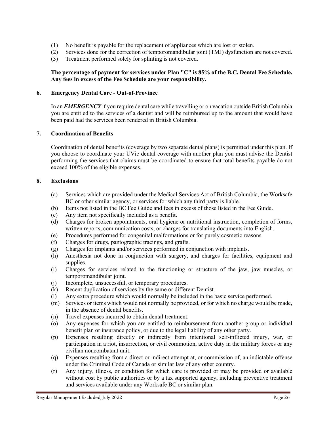- (1) No benefit is payable for the replacement of appliances which are lost or stolen.
- (2) Services done for the correction of temporomandibular joint (TMJ) dysfunction are not covered.
- (3) Treatment performed solely for splinting is not covered.

#### **The percentage of payment for services under Plan "C" is 85% of the B.C. Dental Fee Schedule. Any fees in excess of the Fee Schedule are your responsibility.**

#### **6. Emergency Dental Care - Out-of-Province**

In an *EMERGENCY* if you require dental care while travelling or on vacation outside British Columbia you are entitled to the services of a dentist and will be reimbursed up to the amount that would have been paid had the services been rendered in British Columbia.

#### **7. Coordination of Benefits**

Coordination of dental benefits (coverage by two separate dental plans) is permitted under this plan. If you choose to coordinate your UVic dental coverage with another plan you must advise the Dentist performing the services that claims must be coordinated to ensure that total benefits payable do not exceed 100% of the eligible expenses.

#### **8. Exclusions**

- (a) Services which are provided under the Medical Services Act of British Columbia, the Worksafe BC or other similar agency, or services for which any third party is liable.
- (b) Items not listed in the BC Fee Guide and fees in excess of those listed in the Fee Guide.
- (c) Any item not specifically included as a benefit.
- (d) Charges for broken appointments, oral hygiene or nutritional instruction, completion of forms, written reports, communication costs, or charges for translating documents into English.
- (e) Procedures performed for congenital malformations or for purely cosmetic reasons.
- (f) Charges for drugs, pantographic tracings, and grafts.
- (g) Charges for implants and/or services performed in conjunction with implants.
- (h) Anesthesia not done in conjunction with surgery, and charges for facilities, equipment and supplies.
- (i) Charges for services related to the functioning or structure of the jaw, jaw muscles, or temporomandibular joint.
- (j) Incomplete, unsuccessful, or temporary procedures.
- (k) Recent duplication of services by the same or different Dentist.
- (l) Any extra procedure which would normally be included in the basic service performed.
- (m) Services or items which would not normally be provided, or for which no charge would be made, in the absence of dental benefits.
- (n) Travel expenses incurred to obtain dental treatment.
- (o) Any expenses for which you are entitled to reimbursement from another group or individual benefit plan or insurance policy, or due to the legal liability of any other party.
- (p) Expenses resulting directly or indirectly from intentional self-inflicted injury, war, or participation in a riot, insurrection, or civil commotion, active duty in the military forces or any civilian noncombatant unit.
- (q) Expenses resulting from a direct or indirect attempt at, or commission of, an indictable offense under the Criminal Code of Canada or similar law of any other country.
- (r) Any injury, illness, or condition for which care is provided or may be provided or available without cost by public authorities or by a tax supported agency, including preventive treatment and services available under any Worksafe BC or similar plan.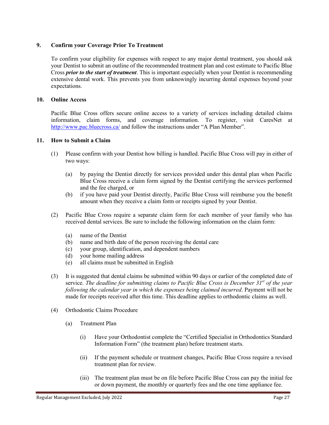#### **9. Confirm your Coverage Prior To Treatment**

To confirm your eligibility for expenses with respect to any major dental treatment, you should ask your Dentist to submit an outline of the recommended treatment plan and cost estimate to Pacific Blue Cross *prior to the start of treatment*. This is important especially when your Dentist is recommending extensive dental work. This prevents you from unknowingly incurring dental expenses beyond your expectations.

#### **10. Online Access**

Pacific Blue Cross offers secure online access to a variety of services including detailed claims information, claim forms, and coverage information. To register, visit CaresNet at <http://www.pac.bluecross.ca/> and follow the instructions under "A Plan Member".

#### **11. How to Submit a Claim**

- (1) Please confirm with your Dentist how billing is handled. Pacific Blue Cross will pay in either of two ways:
	- (a) by paying the Dentist directly for services provided under this dental plan when Pacific Blue Cross receive a claim form signed by the Dentist certifying the services performed and the fee charged, or
	- (b) if you have paid your Dentist directly, Pacific Blue Cross will reimburse you the benefit amount when they receive a claim form or receipts signed by your Dentist.
- (2) Pacific Blue Cross require a separate claim form for each member of your family who has received dental services. Be sure to include the following information on the claim form:
	- (a) name of the Dentist
	- (b) name and birth date of the person receiving the dental care
	- (c) your group, identification, and dependent numbers
	- (d) your home mailing address
	- (e) all claims must be submitted in English
- (3) It is suggested that dental claims be submitted within 90 days or earlier of the completed date of service. *The deadline for submitting claims to Pacific Blue Cross is December 31st of the year following the calendar year in which the expenses being claimed incurred*. Payment will not be made for receipts received after this time. This deadline applies to orthodontic claims as well.
- (4) Orthodontic Claims Procedure
	- (a) Treatment Plan
		- (i) Have your Orthodontist complete the "Certified Specialist in Orthodontics Standard Information Form" (the treatment plan) before treatment starts.
		- (ii) If the payment schedule or treatment changes, Pacific Blue Cross require a revised treatment plan for review.
		- (iii) The treatment plan must be on file before Pacific Blue Cross can pay the initial fee or down payment, the monthly or quarterly fees and the one time appliance fee.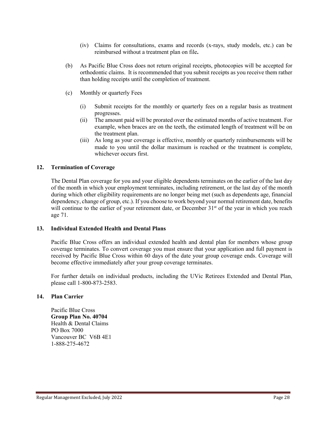- (iv) Claims for consultations, exams and records (x-rays, study models, etc.) can be reimbursed without a treatment plan on file**.**
- (b) As Pacific Blue Cross does not return original receipts, photocopies will be accepted for orthodontic claims. It is recommended that you submit receipts as you receive them rather than holding receipts until the completion of treatment.
- (c) Monthly or quarterly Fees
	- (i) Submit receipts for the monthly or quarterly fees on a regular basis as treatment progresses.
	- (ii) The amount paid will be prorated over the estimated months of active treatment. For example, when braces are on the teeth, the estimated length of treatment will be on the treatment plan.
	- (iii) As long as your coverage is effective, monthly or quarterly reimbursements will be made to you until the dollar maximum is reached or the treatment is complete, whichever occurs first.

#### **12. Termination of Coverage**

The Dental Plan coverage for you and your eligible dependents terminates on the earlier of the last day of the month in which your employment terminates, including retirement, or the last day of the month during which other eligibility requirements are no longer being met (such as dependents age, financial dependency, change of group, etc.). If you choose to work beyond your normal retirement date, benefits will continue to the earlier of your retirement date, or December  $31<sup>st</sup>$  of the year in which you reach age 71.

#### **13. Individual Extended Health and Dental Plans**

Pacific Blue Cross offers an individual extended health and dental plan for members whose group coverage terminates. To convert coverage you must ensure that your application and full payment is received by Pacific Blue Cross within 60 days of the date your group coverage ends. Coverage will become effective immediately after your group coverage terminates.

For further details on individual products, including the UVic Retirees Extended and Dental Plan, please call 1-800-873-2583.

#### **14. Plan Carrier**

Pacific Blue Cross **Group Plan No. 40704** Health & Dental Claims PO Box 7000 Vancouver BC V6B 4E1 1-888-275-4672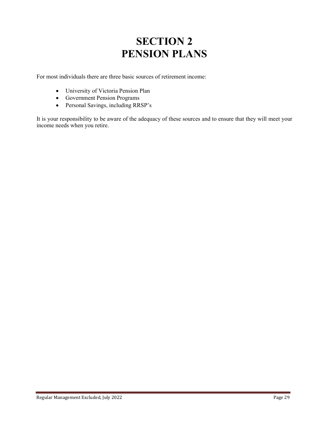### **SECTION 2 PENSION PLANS**

For most individuals there are three basic sources of retirement income:

- University of Victoria Pension Plan
- Government Pension Programs
- Personal Savings, including RRSP's

It is your responsibility to be aware of the adequacy of these sources and to ensure that they will meet your income needs when you retire.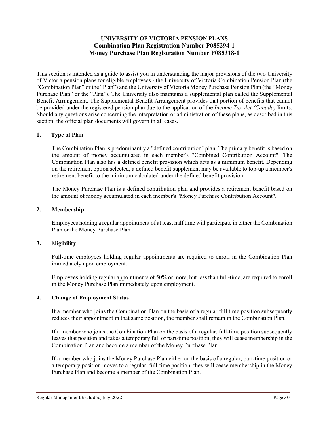#### **UNIVERSITY OF VICTORIA PENSION PLANS Combination Plan Registration Number P085294-1 Money Purchase Plan Registration Number P085318-1**

This section is intended as a guide to assist you in understanding the major provisions of the two University of Victoria pension plans for eligible employees - the University of Victoria Combination Pension Plan (the "Combination Plan" or the "Plan") and the University of Victoria Money Purchase Pension Plan (the "Money Purchase Plan" or the "Plan"). The University also maintains a supplemental plan called the Supplemental Benefit Arrangement. The Supplemental Benefit Arrangement provides that portion of benefits that cannot be provided under the registered pension plan due to the application of the *Income Tax Act (Canada)* limits. Should any questions arise concerning the interpretation or administration of these plans, as described in this section, the official plan documents will govern in all cases.

#### **1. Type of Plan**

The Combination Plan is predominantly a "defined contribution" plan. The primary benefit is based on the amount of money accumulated in each member's "Combined Contribution Account". The Combination Plan also has a defined benefit provision which acts as a minimum benefit. Depending on the retirement option selected, a defined benefit supplement may be available to top-up a member's retirement benefit to the minimum calculated under the defined benefit provision.

The Money Purchase Plan is a defined contribution plan and provides a retirement benefit based on the amount of money accumulated in each member's "Money Purchase Contribution Account".

#### **2. Membership**

Employees holding a regular appointment of at least half time will participate in either the Combination Plan or the Money Purchase Plan.

#### **3. Eligibility**

Full-time employees holding regular appointments are required to enroll in the Combination Plan immediately upon employment.

Employees holding regular appointments of 50% or more, but less than full-time, are required to enroll in the Money Purchase Plan immediately upon employment.

#### **4. Change of Employment Status**

If a member who joins the Combination Plan on the basis of a regular full time position subsequently reduces their appointment in that same position, the member shall remain in the Combination Plan.

If a member who joins the Combination Plan on the basis of a regular, full-time position subsequently leaves that position and takes a temporary full or part-time position, they will cease membership in the Combination Plan and become a member of the Money Purchase Plan.

If a member who joins the Money Purchase Plan either on the basis of a regular, part-time position or a temporary position moves to a regular, full-time position, they will cease membership in the Money Purchase Plan and become a member of the Combination Plan.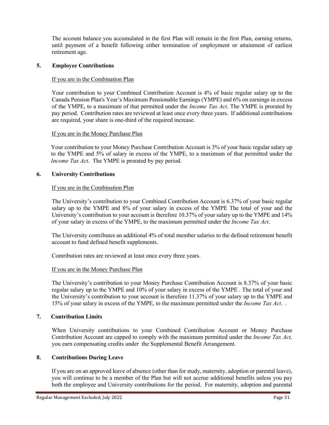The account balance you accumulated in the first Plan will remain in the first Plan, earning returns, until payment of a benefit following either termination of employment or attainment of earliest retirement age.

#### **5. Employee Contributions**

#### If you are in the Combination Plan

Your contribution to your Combined Contribution Account is 4% of basic regular salary up to the Canada Pension Plan's Year's Maximum Pensionable Earnings (YMPE) and 6% on earnings in excess of the YMPE, to a maximum of that permitted under the *Income Tax Act*. The YMPE is prorated by pay period. Contribution rates are reviewed at least once every three years. If additional contributions are required, your share is one-third of the required increase.

#### If you are in the Money Purchase Plan

Your contribution to your Money Purchase Contribution Account is 3% of your basic regular salary up to the YMPE and 5% of salary in excess of the YMPE, to a maximum of that permitted under the *Income Tax Act*. The YMPE is prorated by pay period.

#### **6. University Contributions**

#### If you are in the Combination Plan

The University's contribution to your Combined Contribution Account is 6.37% of your basic regular salary up to the YMPE and 8% of your salary in excess of the YMPE The total of your and the University's contribution to your account is therefore 10.37% of your salary up to the YMPE and 14% of your salary in excess of the YMPE, to the maximum permitted under the *Income Tax Act*.

The University contributes an additional 4% of total member salaries to the defined retirement benefit account to fund defined benefit supplements.

Contribution rates are reviewed at least once every three years.

#### If you are in the Money Purchase Plan

The University's contribution to your Money Purchase Contribution Account is 8.37% of your basic regular salary up to the YMPE and 10% of your salary in excess of the YMPE . The total of your and the University's contribution to your account is therefore 11.37% of your salary up to the YMPE and 15% of your salary in excess of the YMPE, to the maximum permitted under the *Income Tax Act*. *.*

#### **7. Contribution Limits**

When University contributions to your Combined Contribution Account or Money Purchase Contribution Account are capped to comply with the maximum permitted under the *Income Tax Act,* you earn compensating credits under the Supplemental Benefit Arrangement.

#### **8. Contributions During Leave**

If you are on an approved leave of absence (other than for study, maternity, adoption or parental leave), you will continue to be a member of the Plan but will not accrue additional benefits unless you pay both the employee and University contributions for the period. For maternity, adoption and parental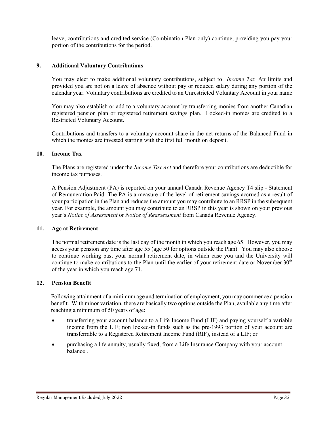leave, contributions and credited service (Combination Plan only) continue, providing you pay your portion of the contributions for the period.

#### **9. Additional Voluntary Contributions**

You may elect to make additional voluntary contributions, subject to *Income Tax Act* limits and provided you are not on a leave of absence without pay or reduced salary during any portion of the calendar year. Voluntary contributions are credited to an Unrestricted Voluntary Account in your name

You may also establish or add to a voluntary account by transferring monies from another Canadian registered pension plan or registered retirement savings plan. Locked-in monies are credited to a Restricted Voluntary Account.

Contributions and transfers to a voluntary account share in the net returns of the Balanced Fund in which the monies are invested starting with the first full month on deposit.

#### **10. Income Tax**

The Plans are registered under the *Income Tax Act* and therefore your contributions are deductible for income tax purposes.

A Pension Adjustment (PA) is reported on your annual Canada Revenue Agency T4 slip - Statement of Remuneration Paid. The PA is a measure of the level of retirement savings accrued as a result of your participation in the Plan and reduces the amount you may contribute to an RRSP in the subsequent year. For example, the amount you may contribute to an RRSP in this year is shown on your previous year's *Notice of Assessment* or *Notice of Reassessment* from Canada Revenue Agency.

#### **11. Age at Retirement**

The normal retirement date is the last day of the month in which you reach age 65. However, you may access your pension any time after age 55 (age 50 for options outside the Plan). You may also choose to continue working past your normal retirement date, in which case you and the University will continue to make contributions to the Plan until the earlier of your retirement date or November 30<sup>th</sup> of the year in which you reach age 71.

#### **12. Pension Benefit**

Following attainment of a minimum age and termination of employment, you may commence a pension benefit. With minor variation, there are basically two options outside the Plan, available any time after reaching a minimum of 50 years of age:

- transferring your account balance to a Life Income Fund (LIF) and paying yourself a variable income from the LIF; non locked-in funds such as the pre-1993 portion of your account are transferrable to a Registered Retirement Income Fund (RIF), instead of a LIF; or
- purchasing a life annuity, usually fixed, from a Life Insurance Company with your account balance .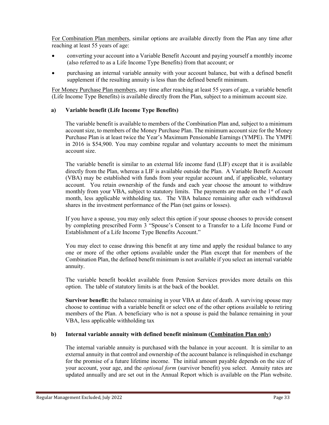For Combination Plan members, similar options are available directly from the Plan any time after reaching at least 55 years of age:

- converting your account into a Variable Benefit Account and paying yourself a monthly income (also referred to as a Life Income Type Benefits) from that account; or
- purchasing an internal variable annuity with your account balance, but with a defined benefit supplement if the resulting annuity is less than the defined benefit minimum.

For Money Purchase Plan members, any time after reaching at least 55 years of age, a variable benefit (Life Income Type Benefits) is available directly from the Plan, subject to a minimum account size.

#### **a) Variable benefit (Life Income Type Benefits)**

The variable benefit is available to members of the Combination Plan and, subject to a minimum account size, to members of the Money Purchase Plan. The minimum account size for the Money Purchase Plan is at least twice the Year's Maximum Pensionable Earnings (YMPE). The YMPE in 2016 is \$54,900. You may combine regular and voluntary accounts to meet the minimum account size.

The variable benefit is similar to an external life income fund (LIF) except that it is available directly from the Plan, whereas a LIF is available outside the Plan. A Variable Benefit Account (VBA) may be established with funds from your regular account and, if applicable, voluntary account. You retain ownership of the funds and each year choose the amount to withdraw monthly from your VBA, subject to statutory limits. The payments are made on the 1<sup>st</sup> of each month, less applicable withholding tax. The VBA balance remaining after each withdrawal shares in the investment performance of the Plan (net gains or losses).

If you have a spouse, you may only select this option if your spouse chooses to provide consent by completing prescribed Form 3 "Spouse's Consent to a Transfer to a Life Income Fund or Establishment of a Life Income Type Benefits Account."

You may elect to cease drawing this benefit at any time and apply the residual balance to any one or more of the other options available under the Plan except that for members of the Combination Plan, the defined benefit minimum is not available if you select an internal variable annuity.

The variable benefit booklet available from Pension Services provides more details on this option. The table of statutory limits is at the back of the booklet.

**Survivor benefit:** the balance remaining in your VBA at date of death. A surviving spouse may choose to continue with a variable benefit or select one of the other options available to retiring members of the Plan. A beneficiary who is not a spouse is paid the balance remaining in your VBA, less applicable withholding tax

#### **b) Internal variable annuity with defined benefit minimum (Combination Plan only)**

The internal variable annuity is purchased with the balance in your account. It is similar to an external annuity in that control and ownership of the account balance is relinquished in exchange for the promise of a future lifetime income. The initial amount payable depends on the size of your account, your age, and the *optional form* (survivor benefit) you select. Annuity rates are updated annually and are set out in the Annual Report which is available on the Plan website.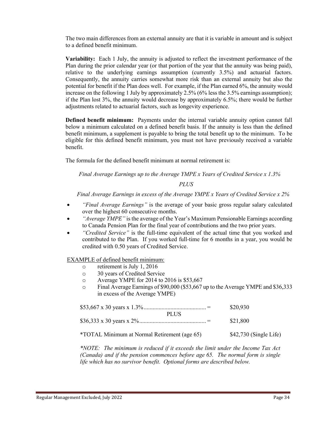The two main differences from an external annuity are that it is variable in amount and is subject to a defined benefit minimum.

**Variability:** Each 1 July, the annuity is adjusted to reflect the investment performance of the Plan during the prior calendar year (or that portion of the year that the annuity was being paid), relative to the underlying earnings assumption (currently 3.5%) and actuarial factors. Consequently, the annuity carries somewhat more risk than an external annuity but also the potential for benefit if the Plan does well. For example, if the Plan earned 6%, the annuity would increase on the following 1 July by approximately 2.5% (6% less the 3.5% earnings assumption); if the Plan lost 3%, the annuity would decrease by approximately 6.5%; there would be further adjustments related to actuarial factors, such as longevity experience.

**Defined benefit minimum:** Payments under the internal variable annuity option cannot fall below a minimum calculated on a defined benefit basis. If the annuity is less than the defined benefit minimum, a supplement is payable to bring the total benefit up to the minimum. To be eligible for this defined benefit minimum, you must not have previously received a variable benefit.

The formula for the defined benefit minimum at normal retirement is:

*Final Average Earnings up to the Average YMPE x Years of Credited Service x 1.3%*

#### *PLUS*

*Final Average Earnings in excess of the Average YMPE x Years of Credited Service x 2%*

- *"Final Average Earnings"* is the average of your basic gross regular salary calculated over the highest 60 consecutive months.
- *"Average YMPE"* is the average of the Year's Maximum Pensionable Earnings according to Canada Pension Plan for the final year of contributions and the two prior years.
- *"Credited Service"* is the full-time equivalent of the actual time that you worked and contributed to the Plan. If you worked full-time for 6 months in a year, you would be credited with 0.50 years of Credited Service.

EXAMPLE of defined benefit minimum:

- $\circ$  retirement is July 1, 2016<br> $\circ$  30 vears of Credited Servi
- 30 years of Credited Service
- o Average YMPE for 2014 to 2016 is \$53,667
- o Final Average Earnings of \$90,000 (\$53,667 up to the Average YMPE and \$36,333 in excess of the Average YMPE)

| <b>PLUS</b>                                  | \$20,930                |
|----------------------------------------------|-------------------------|
|                                              | \$21,800                |
| *TOTAL Minimum at Normal Retirement (age 65) | $$42,730$ (Single Life) |

*\*NOTE: The minimum is reduced if it exceeds the limit under the Income Tax Act (Canada) and if the pension commences before age 65. The normal form is single life which has no survivor benefit. Optional forms are described below.*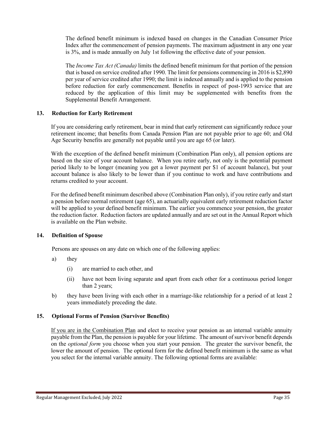The defined benefit minimum is indexed based on changes in the Canadian Consumer Price Index after the commencement of pension payments. The maximum adjustment in any one year is 3%, and is made annually on July 1st following the effective date of your pension.

The *Income Tax Act (Canada)* limits the defined benefit minimum for that portion of the pension that is based on service credited after 1990. The limit for pensions commencing in 2016 is \$2,890 per year of service credited after 1990; the limit is indexed annually and is applied to the pension before reduction for early commencement. Benefits in respect of post-1993 service that are reduced by the application of this limit may be supplemented with benefits from the Supplemental Benefit Arrangement.

#### **13. Reduction for Early Retirement**

If you are considering early retirement, bear in mind that early retirement can significantly reduce your retirement income; that benefits from Canada Pension Plan are not payable prior to age 60; and Old Age Security benefits are generally not payable until you are age 65 (or later).

With the exception of the defined benefit minimum (Combination Plan only), all pension options are based on the size of your account balance. When you retire early, not only is the potential payment period likely to be longer (meaning you get a lower payment per \$1 of account balance), but your account balance is also likely to be lower than if you continue to work and have contributions and returns credited to your account.

For the defined benefit minimum described above (Combination Plan only), if you retire early and start a pension before normal retirement (age 65), an actuarially equivalent early retirement reduction factor will be applied to your defined benefit minimum. The earlier you commence your pension, the greater the reduction factor. Reduction factors are updated annually and are set out in the Annual Report which is available on the Plan website.

#### **14. Definition of Spouse**

Persons are spouses on any date on which one of the following applies:

- a) they
	- (i) are married to each other, and
	- (ii) have not been living separate and apart from each other for a continuous period longer than 2 years;
- b) they have been living with each other in a marriage-like relationship for a period of at least 2 years immediately preceding the date.

#### **15. Optional Forms of Pension (Survivor Benefits)**

If you are in the Combination Plan and elect to receive your pension as an internal variable annuity payable from the Plan, the pension is payable for your lifetime. The amount of survivor benefit depends on the *optional form* you choose when you start your pension. The greater the survivor benefit, the lower the amount of pension. The optional form for the defined benefit minimum is the same as what you select for the internal variable annuity. The following optional forms are available: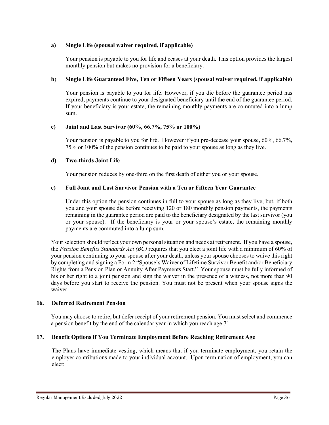#### **a) Single Life (spousal waiver required, if applicable)**

Your pension is payable to you for life and ceases at your death. This option provides the largest monthly pension but makes no provision for a beneficiary.

#### **b**) **Single Life Guaranteed Five, Ten or Fifteen Years (spousal waiver required, if applicable)**

Your pension is payable to you for life. However, if you die before the guarantee period has expired, payments continue to your designated beneficiary until the end of the guarantee period. If your beneficiary is your estate, the remaining monthly payments are commuted into a lump sum.

#### **c) Joint and Last Survivor (60%, 66.7%, 75% or 100%)**

Your pension is payable to you for life. However if you pre-decease your spouse, 60%, 66.7%, 75% or 100% of the pension continues to be paid to your spouse as long as they live.

#### **d) Two-thirds Joint Life**

Your pension reduces by one-third on the first death of either you or your spouse.

#### **e) Full Joint and Last Survivor Pension with a Ten or Fifteen Year Guarantee**

Under this option the pension continues in full to your spouse as long as they live; but, if both you and your spouse die before receiving 120 or 180 monthly pension payments, the payments remaining in the guarantee period are paid to the beneficiary designated by the last survivor (you or your spouse). If the beneficiary is your or your spouse's estate, the remaining monthly payments are commuted into a lump sum.

Your selection should reflect your own personal situation and needs at retirement. If you have a spouse, the *Pension Benefits Standards Act (BC)* requires that you elect a joint life with a minimum of 60% of your pension continuing to your spouse after your death, unless your spouse chooses to waive this right by completing and signing a Form 2 "Spouse's Waiver of Lifetime Survivor Benefit and/or Beneficiary Rights from a Pension Plan or Annuity After Payments Start." Your spouse must be fully informed of his or her right to a joint pension and sign the waiver in the presence of a witness, not more than 90 days before you start to receive the pension. You must not be present when your spouse signs the waiver.

#### **16. Deferred Retirement Pension**

You may choose to retire, but defer receipt of your retirement pension. You must select and commence a pension benefit by the end of the calendar year in which you reach age 71.

#### **17. Benefit Options if You Terminate Employment Before Reaching Retirement Age**

The Plans have immediate vesting, which means that if you terminate employment, you retain the employer contributions made to your individual account. Upon termination of employment, you can elect: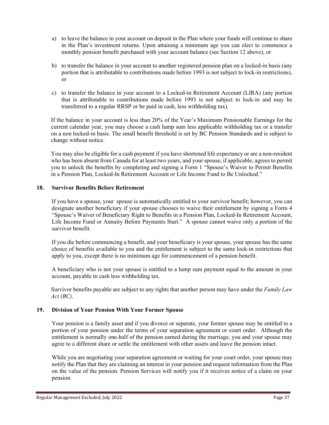- a) to leave the balance in your account on deposit in the Plan where your funds will continue to share in the Plan's investment returns. Upon attaining a minimum age you can elect to commence a monthly pension benefit purchased with your account balance (see Section 12 above), or
- b) to transfer the balance in your account to another registered pension plan on a locked-in basis (any portion that is attributable to contributions made before 1993 is not subject to lock-in restrictions), or
- c) to transfer the balance in your account to a Locked-in Retirement Account (LIRA) (any portion that is attributable to contributions made before 1993 is not subject to lock-in and may be transferred to a regular RRSP or be paid in cash, less withholding tax).

If the balance in your account is less than 20% of the Year's Maximum Pensionable Earnings for the current calendar year, you may choose a cash lump sum less applicable withholding tax or a transfer on a non locked-in basis. The small benefit threshold is set by BC Pension Standards and is subject to change without notice.

You may also be eligible for a cash payment if you have shortened life expectancy or are a non-resident who has been absent from Canada for at least two years, and your spouse, if applicable, agrees to permit you to unlock the benefits by completing and signing a Form 1 "Spouse's Waiver to Permit Benefits in a Pension Plan, Locked-In Retirement Account or Life Income Fund to Be Unlocked."

## **18. Survivor Benefits Before Retirement**

If you have a spouse, your spouse is automatically entitled to your survivor benefit; however, you can designate another beneficiary if your spouse chooses to waive their entitlement by signing a Form 4 "Spouse's Waiver of Beneficiary Right to Benefits in a Pension Plan, Locked-In Retirement Account, Life Income Fund or Annuity Before Payments Start." A spouse cannot waive only a portion of the survivor benefit.

If you die before commencing a benefit, and your beneficiary is your spouse, your spouse has the same choice of benefits available to you and the entitlement is subject to the same lock-in restrictions that apply to you, except there is no minimum age for commencement of a pension benefit.

A beneficiary who is not your spouse is entitled to a lump sum payment equal to the amount in your account, payable in cash less withholding tax.

Survivor benefits payable are subject to any rights that another person may have under the *Family Law Act (BC)*.

## **19. Division of Your Pension With Your Former Spouse**

Your pension is a family asset and if you divorce or separate, your former spouse may be entitled to a portion of your pension under the terms of your separation agreement or court order. Although the entitlement is normally one-half of the pension earned during the marriage, you and your spouse may agree to a different share or settle the entitlement with other assets and leave the pension intact.

While you are negotiating your separation agreement or waiting for your court order, your spouse may notify the Plan that they are claiming an interest in your pension and request information from the Plan on the value of the pension. Pension Services will notify you if it receives notice of a claim on your pension.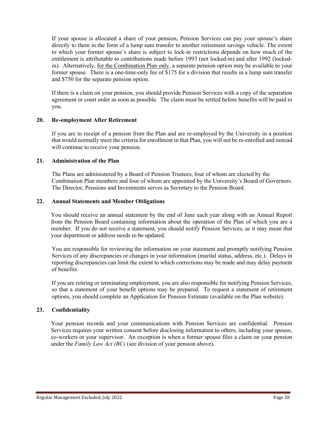If your spouse is allocated a share of your pension, Pension Services can pay your spouse's share directly to them in the form of a lump sum transfer to another retirement savings vehicle. The extent to which your former spouse's share is subject to lock-in restrictions depends on how much of the entitlement is attributable to contributions made before 1993 (not locked-in).and after 1992 (lockedin). Alternatively, for the Combination Plan only, a separate pension option may be available to your former spouse. There is a one-time-only fee of \$175 for a division that results in a lump sum transfer and \$750 for the separate pension option.

If there is a claim on your pension, you should provide Pension Services with a copy of the separation agreement or court order as soon as possible. The claim must be settled before benefits will be paid to you.

## **20. Re-employment After Retirement**

If you are in receipt of a pension from the Plan and are re-employed by the University in a position that would normally meet the criteria for enrollment in that Plan, you will not be re-enrolled and instead will continue to receive your pension.

## **21. Administration of the Plan**

The Plans are administered by a Board of Pension Trustees, four of whom are elected by the Combination Plan members and four of whom are appointed by the University's Board of Governors. The Director, Pensions and Investments serves as Secretary to the Pension Board.

## **22. Annual Statements and Member Obligations**

You should receive an annual statement by the end of June each year along with an Annual Report from the Pension Board containing information about the operation of the Plan of which you are a member. If you do not receive a statement, you should notify Pension Services, as it may mean that your department or address needs to be updated.

You are responsible for reviewing the information on your statement and promptly notifying Pension Services of any discrepancies or changes in your information (marital status, address, etc.). Delays in reporting discrepancies can limit the extent to which corrections may be made and may delay payment of benefits.

If you are retiring or terminating employment, you are also responsible for notifying Pension Services, so that a statement of your benefit options may be prepared. To request a statement of retirement options, you should complete an Application for Pension Estimate (available on the Plan website).

## **23. Confidentiality**

Your pension records and your communications with Pension Services are confidential. Pension Services requires your written consent before disclosing information to others, including your spouse, co-workers or your supervisor. An exception is when a former spouse files a claim on your pension under the *Family Law Act (BC)* (see division of your pension above).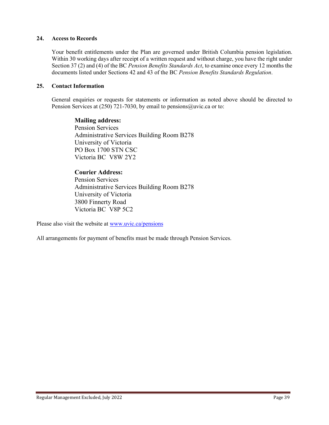## **24. Access to Records**

Your benefit entitlements under the Plan are governed under British Columbia pension legislation. Within 30 working days after receipt of a written request and without charge, you have the right under Section 37 (2) and (4) of the BC *Pension Benefits Standards Act*, to examine once every 12 months the documents listed under Sections 42 and 43 of the BC *Pension Benefits Standards Regulation*.

## **25. Contact Information**

General enquiries or requests for statements or information as noted above should be directed to Pension Services at (250) 721-7030, by email to [pensions@uvic.ca](mailto:pensions@uvic.ca) or to:

**Mailing address:** Pension Services Administrative Services Building Room B278 University of Victoria PO Box 1700 STN CSC Victoria BC V8W 2Y2

## **Courier Address:**

Pension Services Administrative Services Building Room B278 University of Victoria 3800 Finnerty Road Victoria BC V8P 5C2

Please also visit the website at [www.uvic.ca/pensions](http://www.uvic.ca/pensions)

All arrangements for payment of benefits must be made through Pension Services.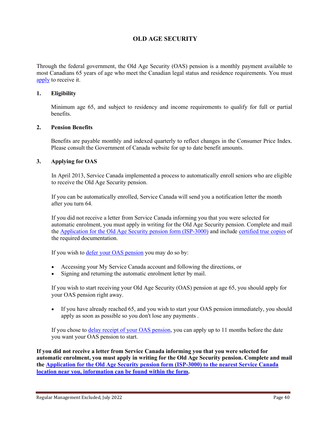# **OLD AGE SECURITY**

Through the federal government, the Old Age Security (OAS) pension is a monthly payment available to most Canadians 65 years of age who meet the Canadian legal status and residence requirements. You must [apply](http://www.esdc.gc.ca/en/cpp/oas/apply.page) to receive it.

## **1. Eligibility**

Minimum age 65, and subject to residency and income requirements to qualify for full or partial benefits.

## **2. Pension Benefits**

Benefits are payable monthly and indexed quarterly to reflect changes in the Consumer Price Index. Please consult the Government of Canada website for up to date benefit amounts.

## **3. Applying for OAS**

In April 2013, Service Canada implemented a process to automatically enroll seniors who are eligible to receive the Old Age Security pension.

If you can be automatically enrolled, Service Canada will send you a notification letter the month after you turn 64.

If you did not receive a letter from Service Canada informing you that you were selected for automatic enrolment, you must apply in writing for the Old Age Security pension. Complete and mail the [Application for the Old Age Security pension form \(ISP-3000\)](http://www.servicecanada.gc.ca/cgi-bin/search/eforms/index.cgi?app=profile&form=isp3000) and include [certified true copies](http://www.servicecanada.gc.ca/cgi-bin/search/eforms/index.cgi?app=prfl&frm=isp1730b&ln=eng) of the required documentation.

If you wish to **defer your OAS** pension you may do so by:

- Accessing your My Service Canada account and following the directions, or
- Signing and returning the automatic enrolment letter by mail.

If you wish to start receiving your Old Age Security (OAS) pension at age 65, you should apply for your OAS pension right away.

• If you have already reached 65, and you wish to start your OAS pension immediately, you should apply as soon as possible so you don't lose any payments .

If you chose to [delay receipt of your OAS pension,](http://www.esdc.gc.ca/en/cpp/oas/eligibility.page#h2.2) you can apply up to 11 months before the date you want your OAS pension to start.

**If you did not receive a letter from Service Canada informing you that you were selected for automatic enrolment, you must apply in writing for the Old Age Security pension. Complete and mail the [Application for the Old Age Security pension form \(ISP-3000\) to the nearest Service Canada](http://www.servicecanada.gc.ca/cgi-bin/search/eforms/index.cgi?app=profile&form=isp3000)  [location near you, information can be found within the form.](http://www.servicecanada.gc.ca/cgi-bin/search/eforms/index.cgi?app=profile&form=isp3000)**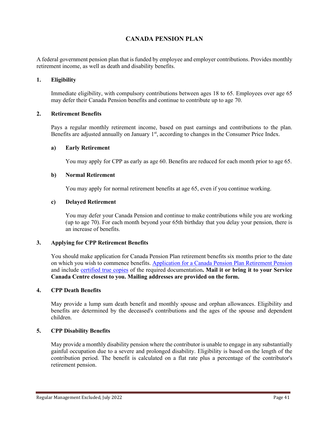# **CANADA PENSION PLAN**

A federal government pension plan that is funded by employee and employer contributions. Provides monthly retirement income, as well as death and disability benefits.

## **1. Eligibility**

Immediate eligibility, with compulsory contributions between ages 18 to 65. Employees over age 65 may defer their Canada Pension benefits and continue to contribute up to age 70.

### **2. Retirement Benefits**

Pays a regular monthly retirement income, based on past earnings and contributions to the plan. Benefits are adjusted annually on January  $1<sup>st</sup>$ , according to changes in the Consumer Price Index.

### **a) Early Retirement**

You may apply for CPP as early as age 60. Benefits are reduced for each month prior to age 65.

## **b) Normal Retirement**

You may apply for normal retirement benefits at age 65, even if you continue working.

### **c) Delayed Retirement**

You may defer your Canada Pension and continue to make contributions while you are working (up to age 70). For each month beyond your 65th birthday that you delay your pension, there is an increase of benefits.

## **3. Applying for CPP Retirement Benefits**

You should make application for Canada Pension Plan retirement benefits six months prior to the date on which you wish to commence benefits. [Application for a Canada Pension Plan Retirement Pension](http://www.servicecanada.gc.ca/cgi-bin/search/eforms/index.cgi?app=profile&form=isp1000&lang=e) and include [certified true copies](http://www.servicecanada.gc.ca/cgi-bin/search/eforms/index.cgi?app=prfl&frm=isp1730&ln=eng) of the required documentation**. Mail it or bring it to your Service Canada Centre closest to you. Mailing addresses are provided on the form.**

#### **4. CPP Death Benefits**

May provide a lump sum death benefit and monthly spouse and orphan allowances. Eligibility and benefits are determined by the deceased's contributions and the ages of the spouse and dependent children.

## **5. CPP Disability Benefits**

May provide a monthly disability pension where the contributor is unable to engage in any substantially gainful occupation due to a severe and prolonged disability. Eligibility is based on the length of the contribution period. The benefit is calculated on a flat rate plus a percentage of the contributor's retirement pension.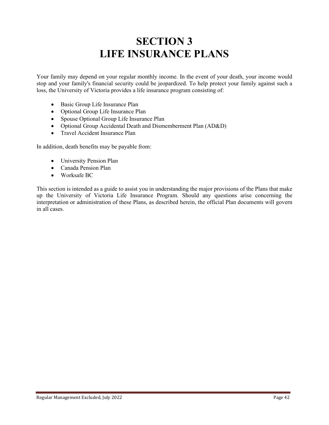# **SECTION 3 LIFE INSURANCE PLANS**

Your family may depend on your regular monthly income. In the event of your death, your income would stop and your family's financial security could be jeopardized. To help protect your family against such a loss, the University of Victoria provides a life insurance program consisting of:

- Basic Group Life Insurance Plan
- Optional Group Life Insurance Plan
- Spouse Optional Group Life Insurance Plan
- Optional Group Accidental Death and Dismemberment Plan (AD&D)
- Travel Accident Insurance Plan

In addition, death benefits may be payable from:

- University Pension Plan
- Canada Pension Plan
- Worksafe BC

This section is intended as a guide to assist you in understanding the major provisions of the Plans that make up the University of Victoria Life Insurance Program. Should any questions arise concerning the interpretation or administration of these Plans, as described herein, the official Plan documents will govern in all cases.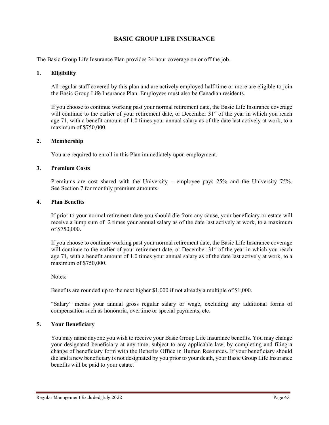# **BASIC GROUP LIFE INSURANCE**

The Basic Group Life Insurance Plan provides 24 hour coverage on or off the job.

### **1. Eligibility**

All regular staff covered by this plan and are actively employed half-time or more are eligible to join the Basic Group Life Insurance Plan. Employees must also be Canadian residents.

If you choose to continue working past your normal retirement date, the Basic Life Insurance coverage will continue to the earlier of your retirement date, or December  $31<sup>st</sup>$  of the year in which you reach age 71, with a benefit amount of 1.0 times your annual salary as of the date last actively at work, to a maximum of \$750,000.

### **2. Membership**

You are required to enroll in this Plan immediately upon employment.

## **3. Premium Costs**

Premiums are cost shared with the University – employee pays 25% and the University 75%. See Section 7 for monthly premium amounts.

## **4. Plan Benefits**

If prior to your normal retirement date you should die from any cause, your beneficiary or estate will receive a lump sum of 2 times your annual salary as of the date last actively at work, to a maximum of \$750,000.

If you choose to continue working past your normal retirement date, the Basic Life Insurance coverage will continue to the earlier of your retirement date, or December  $31<sup>st</sup>$  of the year in which you reach age 71, with a benefit amount of 1.0 times your annual salary as of the date last actively at work, to a maximum of \$750,000.

Notes:

Benefits are rounded up to the next higher \$1,000 if not already a multiple of \$1,000.

"Salary" means your annual gross regular salary or wage, excluding any additional forms of compensation such as honoraria, overtime or special payments, etc.

## **5. Your Beneficiary**

You may name anyone you wish to receive your Basic Group Life Insurance benefits. You may change your designated beneficiary at any time, subject to any applicable law, by completing and filing a change of beneficiary form with the Benefits Office in Human Resources. If your beneficiary should die and a new beneficiary is not designated by you prior to your death, your Basic Group Life Insurance benefits will be paid to your estate.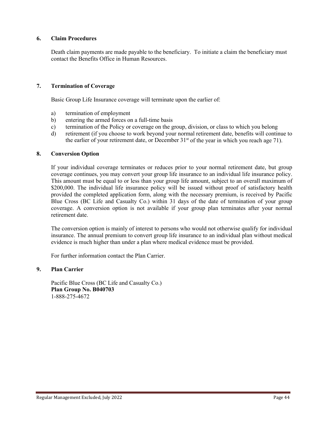## **6. Claim Procedures**

Death claim payments are made payable to the beneficiary. To initiate a claim the beneficiary must contact the Benefits Office in Human Resources.

## **7. Termination of Coverage**

Basic Group Life Insurance coverage will terminate upon the earlier of:

- a) termination of employment
- b) entering the armed forces on a full-time basis
- c) termination of the Policy or coverage on the group, division, or class to which you belong
- d) retirement (if you choose to work beyond your normal retirement date, benefits will continue to the earlier of your retirement date, or December  $31<sup>st</sup>$  of the year in which you reach age 71).

## **8. Conversion Option**

If your individual coverage terminates or reduces prior to your normal retirement date, but group coverage continues, you may convert your group life insurance to an individual life insurance policy. This amount must be equal to or less than your group life amount, subject to an overall maximum of \$200,000. The individual life insurance policy will be issued without proof of satisfactory health provided the completed application form, along with the necessary premium, is received by Pacific Blue Cross (BC Life and Casualty Co.) within 31 days of the date of termination of your group coverage. A conversion option is not available if your group plan terminates after your normal retirement date.

The conversion option is mainly of interest to persons who would not otherwise qualify for individual insurance. The annual premium to convert group life insurance to an individual plan without medical evidence is much higher than under a plan where medical evidence must be provided.

For further information contact the Plan Carrier.

## **9. Plan Carrier**

Pacific Blue Cross (BC Life and Casualty Co.) **Plan Group No. B040703** 1-888-275-4672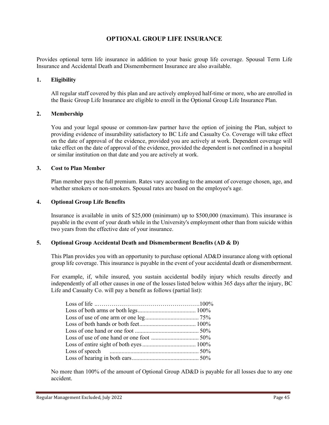# **OPTIONAL GROUP LIFE INSURANCE**

Provides optional term life insurance in addition to your basic group life coverage. Spousal Term Life Insurance and Accidental Death and Dismemberment Insurance are also available.

## **1. Eligibility**

All regular staff covered by this plan and are actively employed half-time or more, who are enrolled in the Basic Group Life Insurance are eligible to enroll in the Optional Group Life Insurance Plan.

### **2. Membership**

You and your legal spouse or common-law partner have the option of joining the Plan, subject to providing evidence of insurability satisfactory to BC Life and Casualty Co. Coverage will take effect on the date of approval of the evidence, provided you are actively at work. Dependent coverage will take effect on the date of approval of the evidence, provided the dependent is not confined in a hospital or similar institution on that date and you are actively at work.

## **3. Cost to Plan Member**

Plan member pays the full premium. Rates vary according to the amount of coverage chosen, age, and whether smokers or non-smokers. Spousal rates are based on the employee's age.

## **4. Optional Group Life Benefits**

Insurance is available in units of \$25,000 (minimum) up to \$500,000 (maximum). This insurance is payable in the event of your death while in the University's employment other than from suicide within two years from the effective date of your insurance.

## **5. Optional Group Accidental Death and Dismemberment Benefits (AD & D)**

This Plan provides you with an opportunity to purchase optional AD&D insurance along with optional group life coverage. This insurance is payable in the event of your accidental death or dismemberment.

For example, if, while insured, you sustain accidental bodily injury which results directly and independently of all other causes in one of the losses listed below within 365 days after the injury, BC Life and Casualty Co. will pay a benefit as follows (partial list):

No more than 100% of the amount of Optional Group AD&D is payable for all losses due to any one accident.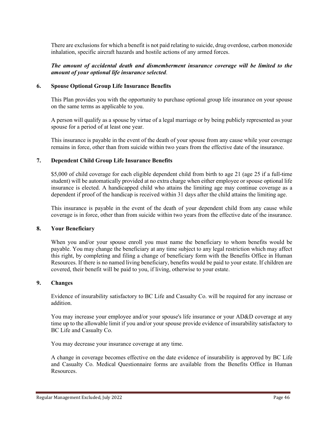There are exclusions for which a benefit is not paid relating to suicide, drug overdose, carbon monoxide inhalation, specific aircraft hazards and hostile actions of any armed forces.

*The amount of accidental death and dismemberment insurance coverage will be limited to the amount of your optional life insurance selected*.

#### **6. Spouse Optional Group Life Insurance Benefits**

This Plan provides you with the opportunity to purchase optional group life insurance on your spouse on the same terms as applicable to you.

A person will qualify as a spouse by virtue of a legal marriage or by being publicly represented as your spouse for a period of at least one year.

This insurance is payable in the event of the death of your spouse from any cause while your coverage remains in force, other than from suicide within two years from the effective date of the insurance.

## **7. Dependent Child Group Life Insurance Benefits**

\$5,000 of child coverage for each eligible dependent child from birth to age 21 (age 25 if a full-time student) will be automatically provided at no extra charge when either employee or spouse optional life insurance is elected. A handicapped child who attains the limiting age may continue coverage as a dependent if proof of the handicap is received within 31 days after the child attains the limiting age.

This insurance is payable in the event of the death of your dependent child from any cause while coverage is in force, other than from suicide within two years from the effective date of the insurance.

#### **8. Your Beneficiary**

When you and/or your spouse enroll you must name the beneficiary to whom benefits would be payable. You may change the beneficiary at any time subject to any legal restriction which may affect this right, by completing and filing a change of beneficiary form with the Benefits Office in Human Resources. If there is no named living beneficiary, benefits would be paid to your estate. If children are covered, their benefit will be paid to you, if living, otherwise to your estate.

## **9. Changes**

Evidence of insurability satisfactory to BC Life and Casualty Co. will be required for any increase or addition.

You may increase your employee and/or your spouse's life insurance or your AD&D coverage at any time up to the allowable limit if you and/or your spouse provide evidence of insurability satisfactory to BC Life and Casualty Co.

You may decrease your insurance coverage at any time.

A change in coverage becomes effective on the date evidence of insurability is approved by BC Life and Casualty Co. Medical Questionnaire forms are available from the Benefits Office in Human Resources.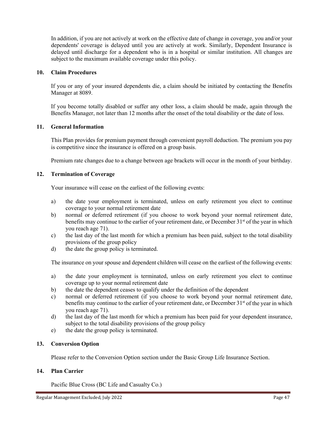In addition, if you are not actively at work on the effective date of change in coverage, you and/or your dependents' coverage is delayed until you are actively at work. Similarly, Dependent Insurance is delayed until discharge for a dependent who is in a hospital or similar institution. All changes are subject to the maximum available coverage under this policy.

## **10. Claim Procedures**

If you or any of your insured dependents die, a claim should be initiated by contacting the Benefits Manager at 8089.

If you become totally disabled or suffer any other loss, a claim should be made, again through the Benefits Manager, not later than 12 months after the onset of the total disability or the date of loss.

## **11. General Information**

This Plan provides for premium payment through convenient payroll deduction. The premium you pay is competitive since the insurance is offered on a group basis.

Premium rate changes due to a change between age brackets will occur in the month of your birthday.

### **12. Termination of Coverage**

Your insurance will cease on the earliest of the following events:

- a) the date your employment is terminated, unless on early retirement you elect to continue coverage to your normal retirement date
- b) normal or deferred retirement (if you choose to work beyond your normal retirement date, benefits may continue to the earlier of your retirement date, or December 31<sup>st</sup> of the year in which you reach age 71).
- c) the last day of the last month for which a premium has been paid, subject to the total disability provisions of the group policy
- d) the date the group policy is terminated.

The insurance on your spouse and dependent children will cease on the earliest of the following events:

- a) the date your employment is terminated, unless on early retirement you elect to continue coverage up to your normal retirement date
- b) the date the dependent ceases to qualify under the definition of the dependent
- c) normal or deferred retirement (if you choose to work beyond your normal retirement date, benefits may continue to the earlier of your retirement date, or December  $31<sup>st</sup>$  of the year in which you reach age 71).
- d) the last day of the last month for which a premium has been paid for your dependent insurance, subject to the total disability provisions of the group policy
- e) the date the group policy is terminated.

#### **13. Conversion Option**

Please refer to the Conversion Option section under the Basic Group Life Insurance Section.

## **14. Plan Carrier**

Pacific Blue Cross (BC Life and Casualty Co.)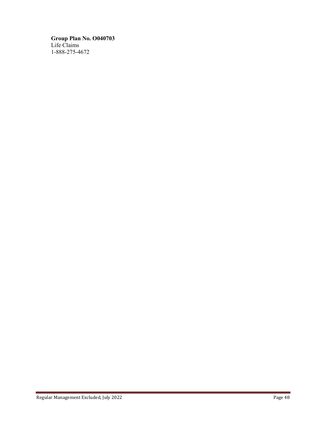**Group Plan No. O040703** Life Claims 1-888-275-4672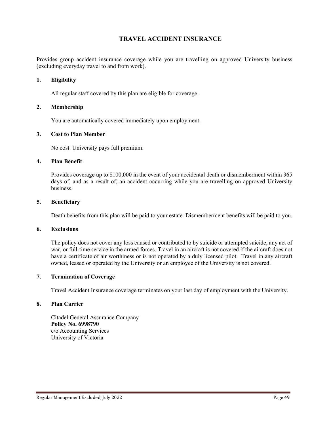# **TRAVEL ACCIDENT INSURANCE**

Provides group accident insurance coverage while you are travelling on approved University business (excluding everyday travel to and from work).

## **1. Eligibility**

All regular staff covered by this plan are eligible for coverage.

## **2. Membership**

You are automatically covered immediately upon employment.

### **3. Cost to Plan Member**

No cost. University pays full premium.

## **4. Plan Benefit**

Provides coverage up to \$100,000 in the event of your accidental death or dismemberment within 365 days of, and as a result of, an accident occurring while you are travelling on approved University business.

## **5. Beneficiary**

Death benefits from this plan will be paid to your estate. Dismemberment benefits will be paid to you.

### **6. Exclusions**

The policy does not cover any loss caused or contributed to by suicide or attempted suicide, any act of war, or full-time service in the armed forces. Travel in an aircraft is not covered if the aircraft does not have a certificate of air worthiness or is not operated by a duly licensed pilot. Travel in any aircraft owned, leased or operated by the University or an employee of the University is not covered.

#### **7. Termination of Coverage**

Travel Accident Insurance coverage terminates on your last day of employment with the University.

## **8. Plan Carrier**

Citadel General Assurance Company **Policy No. 6998790** c/o Accounting Services University of Victoria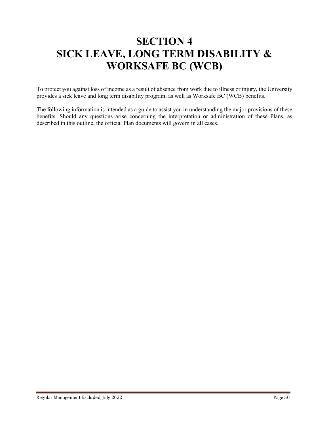# **SECTION 4 SICK LEAVE, LONG TERM DISABILITY & WORKSAFE BC (WCB)**

To protect you against loss of income as a result of absence from work due to illness or injury, the University provides a sick leave and long term disability program, as well as Worksafe BC (WCB) benefits.

The following information is intended as a guide to assist you in understanding the major provisions of these benefits. Should any questions arise concerning the interpretation or administration of these Plans, as described in this outline, the official Plan documents will govern in all cases.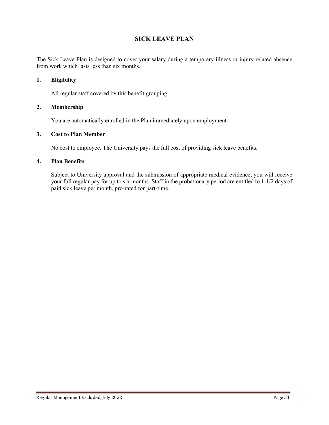# **SICK LEAVE PLAN**

The Sick Leave Plan is designed to cover your salary during a temporary illness or injury-related absence from work which lasts less than six months.

## **1. Eligibility**

All regular staff covered by this benefit grouping.

## **2. Membership**

You are automatically enrolled in the Plan immediately upon employment.

## **3. Cost to Plan Member**

No cost to employee. The University pays the full cost of providing sick leave benefits.

## **4. Plan Benefits**

Subject to University approval and the submission of appropriate medical evidence, you will receive your full regular pay for up to six months. Staff in the probationary period are entitled to 1-1/2 days of paid sick leave per month, pro-rated for part-time.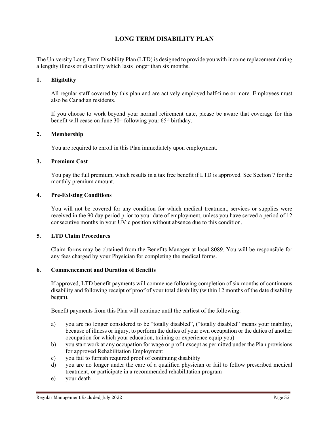# **LONG TERM DISABILITY PLAN**

The University Long Term Disability Plan (LTD) is designed to provide you with income replacement during a lengthy illness or disability which lasts longer than six months.

## **1. Eligibility**

All regular staff covered by this plan and are actively employed half-time or more. Employees must also be Canadian residents.

If you choose to work beyond your normal retirement date, please be aware that coverage for this benefit will cease on June  $30<sup>th</sup>$  following your 65<sup>th</sup> birthday.

## **2. Membership**

You are required to enroll in this Plan immediately upon employment.

## **3. Premium Cost**

You pay the full premium, which results in a tax free benefit if LTD is approved. See Section 7 for the monthly premium amount.

## **4. Pre-Existing Conditions**

You will not be covered for any condition for which medical treatment, services or supplies were received in the 90 day period prior to your date of employment, unless you have served a period of 12 consecutive months in your UVic position without absence due to this condition.

## **5. LTD Claim Procedures**

Claim forms may be obtained from the Benefits Manager at local 8089. You will be responsible for any fees charged by your Physician for completing the medical forms.

### **6. Commencement and Duration of Benefits**

If approved, LTD benefit payments will commence following completion of six months of continuous disability and following receipt of proof of your total disability (within 12 months of the date disability began).

Benefit payments from this Plan will continue until the earliest of the following:

- a) you are no longer considered to be "totally disabled", ("totally disabled" means your inability, because of illness or injury, to perform the duties of your own occupation or the duties of another occupation for which your education, training or experience equip you)
- b) you start work at any occupation for wage or profit except as permitted under the Plan provisions for approved Rehabilitation Employment
- c) you fail to furnish required proof of continuing disability
- d) you are no longer under the care of a qualified physician or fail to follow prescribed medical treatment, or participate in a recommended rehabilitation program
- e) your death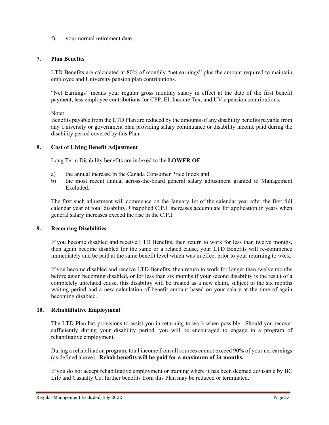f) your normal retirement date.

## **7. Plan Benefits**

LTD Benefits are calculated at 80% of monthly "net earnings" plus the amount required to maintain employee and University pension plan contributions.

"Net Earnings" means your regular gross monthly salary in effect at the date of the first benefit payment, less employee contributions for CPP, EI, Income Tax, and UVic pension contributions.

Note:

Benefits payable from the LTD Plan are reduced by the amounts of any disability benefits payable from any University or government plan providing salary continuance or disability income paid during the disability period covered by this Plan.

## **8. Cost of Living Benefit Adjustment**

Long Term Disability benefits are indexed to the **LOWER OF**

- a) the annual increase in the Canada Consumer Price Index and
- b) the most recent annual across-the-board general salary adjustment granted to Management Excluded.

The first such adjustment will commence on the January 1st of the calendar year after the first full calendar year of total disability. Unapplied C.P.I. increases accumulate for application in years when general salary increases exceed the rise in the C.P.I.

## **9. Recurring Disabilities**

If you become disabled and receive LTD Benefits, then return to work for less than twelve months, then again become disabled for the same or a related cause, your LTD Benefits will re-commence immediately and be paid at the same benefit level which was in effect prior to your returning to work.

If you become disabled and receive LTD Benefits, then return to work for longer than twelve months before again becoming disabled, or for less than six months if your second disability is the result of a completely unrelated cause, this disability will be treated as a new claim, subject to the six months waiting period and a new calculation of benefit amount based on your salary at the time of again becoming disabled.

## **10. Rehabilitative Employment**

The LTD Plan has provisions to assist you in returning to work when possible. Should you recover sufficiently during your disability period, you will be encouraged to engage in a program of rehabilitative employment.

During a rehabilitation program, total income from all sources cannot exceed 90% of your net earnings (as defined above). **Rehab benefits will be paid for a maximum of 24 months.**

If you do not accept rehabilitative employment or training where it has been deemed advisable by BC Life and Casualty Co. further benefits from this Plan may be reduced or terminated.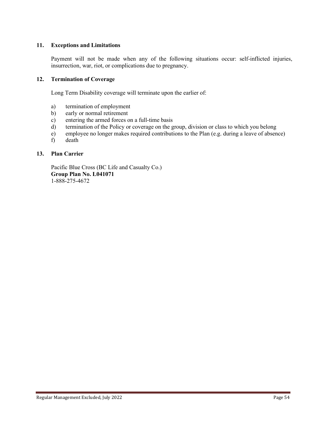## **11. Exceptions and Limitations**

Payment will not be made when any of the following situations occur: self-inflicted injuries, insurrection, war, riot, or complications due to pregnancy.

## **12. Termination of Coverage**

Long Term Disability coverage will terminate upon the earlier of:

- a) termination of employment
- b) early or normal retirement
- c) entering the armed forces on a full-time basis
- d) termination of the Policy or coverage on the group, division or class to which you belong
- e) employee no longer makes required contributions to the Plan (e.g. during a leave of absence)
- f) death

## **13. Plan Carrier**

Pacific Blue Cross (BC Life and Casualty Co.) **Group Plan No. L041071** 1-888-275-4672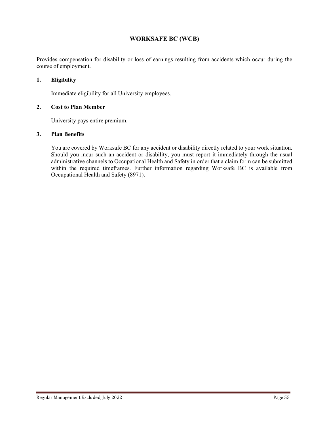## **WORKSAFE BC (WCB)**

Provides compensation for disability or loss of earnings resulting from accidents which occur during the course of employment.

## **1. Eligibility**

Immediate eligibility for all University employees.

## **2. Cost to Plan Member**

University pays entire premium.

## **3. Plan Benefits**

You are covered by Worksafe BC for any accident or disability directly related to your work situation. Should you incur such an accident or disability, you must report it immediately through the usual administrative channels to Occupational Health and Safety in order that a claim form can be submitted within the required timeframes. Further information regarding Worksafe BC is available from Occupational Health and Safety (8971).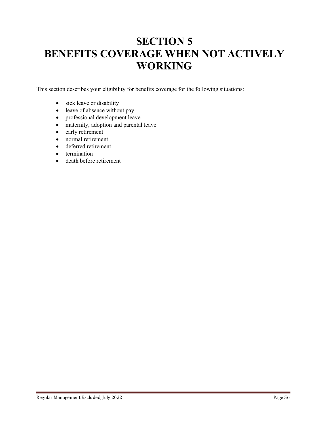# **SECTION 5 BENEFITS COVERAGE WHEN NOT ACTIVELY WORKING**

This section describes your eligibility for benefits coverage for the following situations:

- sick leave or disability
- leave of absence without pay
- professional development leave
- maternity, adoption and parental leave
- early retirement
- normal retirement
- deferred retirement
- termination
- death before retirement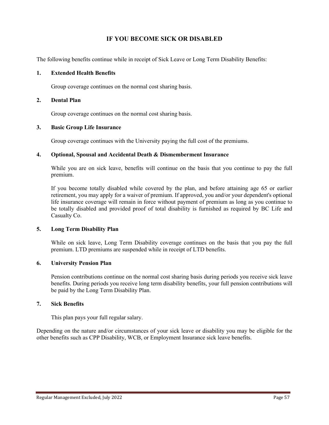# **IF YOU BECOME SICK OR DISABLED**

The following benefits continue while in receipt of Sick Leave or Long Term Disability Benefits:

## **1. Extended Health Benefits**

Group coverage continues on the normal cost sharing basis.

### **2. Dental Plan**

Group coverage continues on the normal cost sharing basis.

## **3. Basic Group Life Insurance**

Group coverage continues with the University paying the full cost of the premiums.

## **4. Optional, Spousal and Accidental Death & Dismemberment Insurance**

While you are on sick leave, benefits will continue on the basis that you continue to pay the full premium.

If you become totally disabled while covered by the plan, and before attaining age 65 or earlier retirement, you may apply for a waiver of premium. If approved, you and/or your dependent's optional life insurance coverage will remain in force without payment of premium as long as you continue to be totally disabled and provided proof of total disability is furnished as required by BC Life and Casualty Co.

## **5. Long Term Disability Plan**

While on sick leave, Long Term Disability coverage continues on the basis that you pay the full premium. LTD premiums are suspended while in receipt of LTD benefits.

## **6. University Pension Plan**

Pension contributions continue on the normal cost sharing basis during periods you receive sick leave benefits. During periods you receive long term disability benefits, your full pension contributions will be paid by the Long Term Disability Plan.

## **7. Sick Benefits**

This plan pays your full regular salary.

Depending on the nature and/or circumstances of your sick leave or disability you may be eligible for the other benefits such as CPP Disability, WCB, or Employment Insurance sick leave benefits.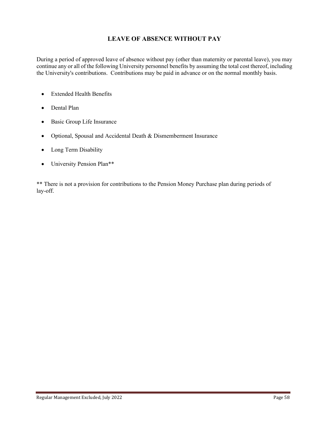# **LEAVE OF ABSENCE WITHOUT PAY**

During a period of approved leave of absence without pay (other than maternity or parental leave), you may continue any or all of the following University personnel benefits by assuming the total cost thereof, including the University's contributions. Contributions may be paid in advance or on the normal monthly basis.

- Extended Health Benefits
- Dental Plan
- Basic Group Life Insurance
- Optional, Spousal and Accidental Death & Dismemberment Insurance
- Long Term Disability
- University Pension Plan\*\*

\*\* There is not a provision for contributions to the Pension Money Purchase plan during periods of lay-off.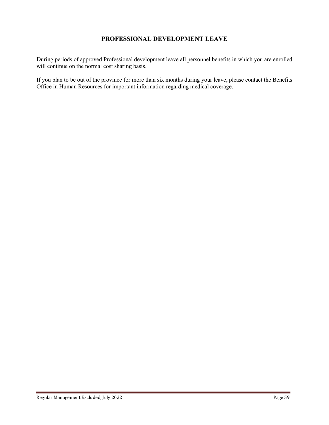# **PROFESSIONAL DEVELOPMENT LEAVE**

During periods of approved Professional development leave all personnel benefits in which you are enrolled will continue on the normal cost sharing basis.

If you plan to be out of the province for more than six months during your leave, please contact the Benefits Office in Human Resources for important information regarding medical coverage.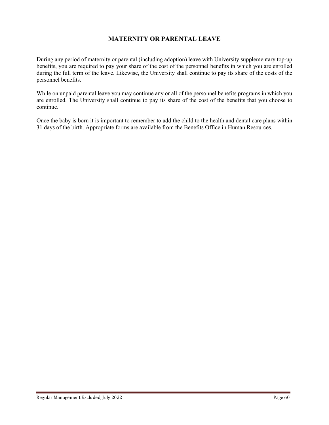# **MATERNITY OR PARENTAL LEAVE**

During any period of maternity or parental (including adoption) leave with University supplementary top-up benefits, you are required to pay your share of the cost of the personnel benefits in which you are enrolled during the full term of the leave. Likewise, the University shall continue to pay its share of the costs of the personnel benefits.

While on unpaid parental leave you may continue any or all of the personnel benefits programs in which you are enrolled. The University shall continue to pay its share of the cost of the benefits that you choose to continue.

Once the baby is born it is important to remember to add the child to the health and dental care plans within 31 days of the birth. Appropriate forms are available from the Benefits Office in Human Resources.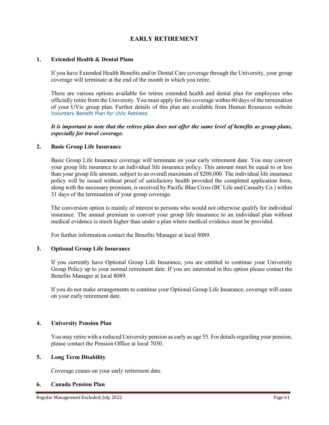# **EARLY RETIREMENT**

## **1. Extended Health & Dental Plans**

If you have Extended Health Benefits and/or Dental Care coverage through the University, your group coverage will terminate at the end of the month in which you retire.

There are various options available for retiree extended health and dental plan for employees who officially retire from the University. You must apply for this coverage within 60 days of the termination of your UVic group plan. Further details of this plan are available from Human Resources website [Voluntary Benefit Plan for UVic Retirees](https://www.uvic.ca/hr/assets/docs/benefits/UVicRetireesBenefitPlan.pdf)

*It is important to note that the retiree plan does not offer the same level of benefits as group plans, especially for travel coverage.*

#### **2. Basic Group Life Insurance**

Basic Group Life Insurance coverage will terminate on your early retirement date. You may convert your group life insurance to an individual life insurance policy. This amount must be equal to or less than your group life amount, subject to an overall maximum of \$200,000. The individual life insurance policy will be issued without proof of satisfactory health provided the completed application form, along with the necessary premium, is received by Pacific Blue Cross (BC Life and Casualty Co.) within 31 days of the termination of your group coverage.

The conversion option is mainly of interest to persons who would not otherwise qualify for individual insurance. The annual premium to convert your group life insurance to an individual plan without medical evidence is much higher than under a plan where medical evidence must be provided.

For further information contact the Benefits Manager at local 8089.

## **3. Optional Group Life Insurance**

If you currently have Optional Group Life Insurance, you are entitled to continue your University Group Policy up to your normal retirement date. If you are interested in this option please contact the Benefits Manager at local 8089.

If you do not make arrangements to continue your Optional Group Life Insurance, coverage will cease on your early retirement date.

## **4. University Pension Plan**

You may retire with a reduced University pension as early as age 55. For details regarding your pension, please contact the Pension Office at local 7030.

## **5. Long Term Disability**

Coverage ceases on your early retirement date.

## **6. Canada Pension Plan**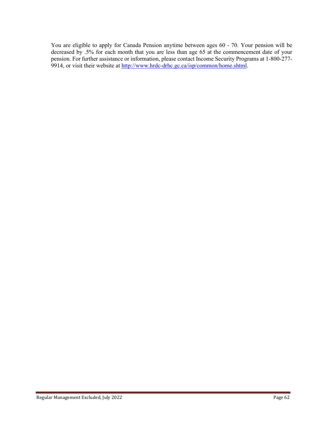You are eligible to apply for Canada Pension anytime between ages 60 - 70. Your pension will be decreased by .5% for each month that you are less than age 65 at the commencement date of your pension. For further assistance or information, please contact Income Security Programs at 1-800-277- 9914, or visit their website at http://www.hrdc-drhc.gc.ca/isp/common/home.shtml.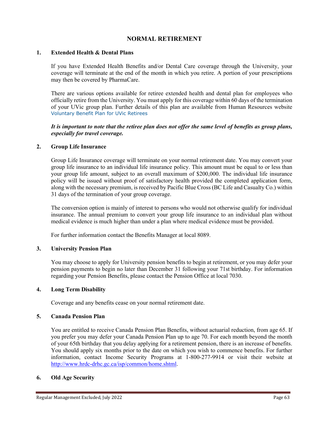## **NORMAL RETIREMENT**

## **1. Extended Health & Dental Plans**

If you have Extended Health Benefits and/or Dental Care coverage through the University, your coverage will terminate at the end of the month in which you retire. A portion of your prescriptions may then be covered by PharmaCare.

There are various options available for retiree extended health and dental plan for employees who officially retire from the University. You must apply for this coverage within 60 days of the termination of your UVic group plan. Further details of this plan are available from Human Resources website [Voluntary Benefit Plan for UVic Retirees](https://www.uvic.ca/hr/assets/docs/benefits/UVicRetireesBenefitPlan.pdf)

## *It is important to note that the retiree plan does not offer the same level of benefits as group plans, especially for travel coverage.*

## **2. Group Life Insurance**

Group Life Insurance coverage will terminate on your normal retirement date. You may convert your group life insurance to an individual life insurance policy. This amount must be equal to or less than your group life amount, subject to an overall maximum of \$200,000. The individual life insurance policy will be issued without proof of satisfactory health provided the completed application form, along with the necessary premium, is received by Pacific Blue Cross (BC Life and Casualty Co.) within 31 days of the termination of your group coverage.

The conversion option is mainly of interest to persons who would not otherwise qualify for individual insurance. The annual premium to convert your group life insurance to an individual plan without medical evidence is much higher than under a plan where medical evidence must be provided.

For further information contact the Benefits Manager at local 8089.

## **3. University Pension Plan**

You may choose to apply for University pension benefits to begin at retirement, or you may defer your pension payments to begin no later than December 31 following your 71st birthday. For information regarding your Pension Benefits, please contact the Pension Office at local 7030.

## **4. Long Term Disability**

Coverage and any benefits cease on your normal retirement date.

## **5. Canada Pension Plan**

You are entitled to receive Canada Pension Plan Benefits, without actuarial reduction, from age 65. If you prefer you may defer your Canada Pension Plan up to age 70. For each month beyond the month of your 65th birthday that you delay applying for a retirement pension, there is an increase of benefits. You should apply six months prior to the date on which you wish to commence benefits. For further information, contact Income Security Programs at 1-800-277-9914 or visit their website at http://www.hrdc-drhc.gc.ca/isp/common/home.shtml.

## **6. Old Age Security**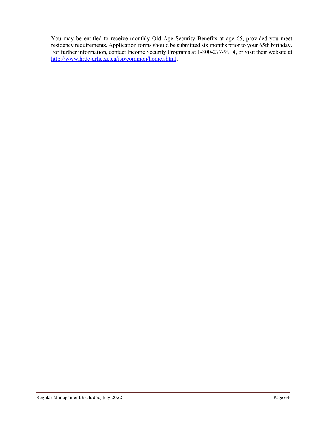You may be entitled to receive monthly Old Age Security Benefits at age 65, provided you meet residency requirements. Application forms should be submitted six months prior to your 65th birthday. For further information, contact Income Security Programs at 1-800-277-9914, or visit their website at http://www.hrdc-drhc.gc.ca/isp/common/home.shtml.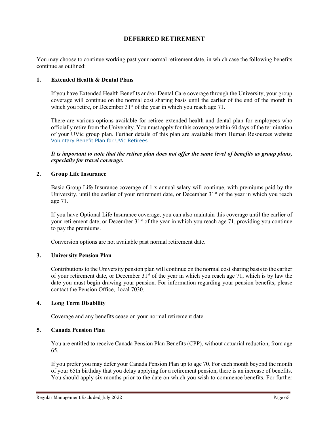## **DEFERRED RETIREMENT**

You may choose to continue working past your normal retirement date, in which case the following benefits continue as outlined:

## **1. Extended Health & Dental Plans**

If you have Extended Health Benefits and/or Dental Care coverage through the University, your group coverage will continue on the normal cost sharing basis until the earlier of the end of the month in which you retire, or December  $31<sup>st</sup>$  of the year in which you reach age 71.

There are various options available for retiree extended health and dental plan for employees who officially retire from the University. You must apply for this coverage within 60 days of the termination of your UVic group plan. Further details of this plan are available from Human Resources website [Voluntary Benefit Plan for UVic Retirees](https://www.uvic.ca/hr/assets/docs/benefits/UVicRetireesBenefitPlan.pdf)

*It is important to note that the retiree plan does not offer the same level of benefits as group plans, especially for travel coverage.*

## **2. Group Life Insurance**

Basic Group Life Insurance coverage of 1 x annual salary will continue, with premiums paid by the University, until the earlier of your retirement date, or December  $31<sup>st</sup>$  of the year in which you reach age 71.

If you have Optional Life Insurance coverage, you can also maintain this coverage until the earlier of your retirement date, or December 31<sup>st</sup> of the year in which you reach age 71, providing you continue to pay the premiums.

Conversion options are not available past normal retirement date.

## **3. University Pension Plan**

Contributions to the University pension plan will continue on the normal cost sharing basis to the earlier of your retirement date, or December  $31<sup>st</sup>$  of the year in which you reach age 71, which is by law the date you must begin drawing your pension. For information regarding your pension benefits, please contact the Pension Office, local 7030.

## **4. Long Term Disability**

Coverage and any benefits cease on your normal retirement date.

## **5. Canada Pension Plan**

You are entitled to receive Canada Pension Plan Benefits (CPP), without actuarial reduction, from age 65.

If you prefer you may defer your Canada Pension Plan up to age 70. For each month beyond the month of your 65th birthday that you delay applying for a retirement pension, there is an increase of benefits. You should apply six months prior to the date on which you wish to commence benefits. For further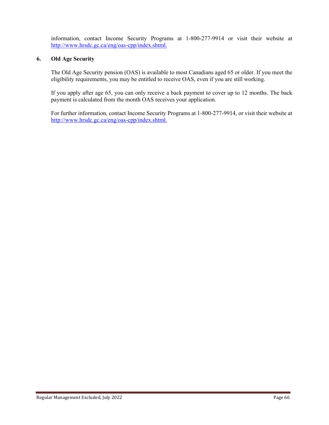information, contact Income Security Programs at 1-800-277-9914 or visit their website at [http://www.hrsdc.gc.ca/eng/oas-cpp/index.shtml.](http://www.hrsdc.gc.ca/eng/oas-cpp/index.shtml)

## **6. Old Age Security**

The Old Age Security pension (OAS) is available to most Canadians aged 65 or older. If you meet the eligibility requirements, you may be entitled to receive OAS, even if you are still working.

If you apply after age 65, you can only receive a back payment to cover up to 12 months. The back payment is calculated from the month OAS receives your application.

For further information, contact Income Security Programs at 1-800-277-9914, or visit their website at [http://www.hrsdc.gc.ca/eng/oas-cpp/index.shtml.](http://www.hrsdc.gc.ca/eng/oas-cpp/index.shtml)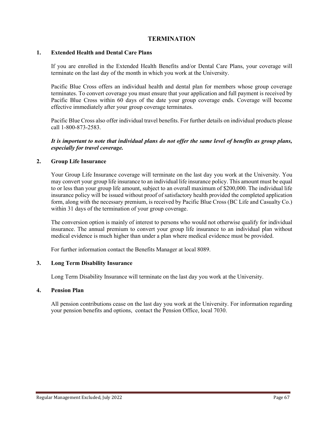## **TERMINATION**

## **1. Extended Health and Dental Care Plans**

If you are enrolled in the Extended Health Benefits and/or Dental Care Plans, your coverage will terminate on the last day of the month in which you work at the University.

Pacific Blue Cross offers an individual health and dental plan for members whose group coverage terminates. To convert coverage you must ensure that your application and full payment is received by Pacific Blue Cross within 60 days of the date your group coverage ends. Coverage will become effective immediately after your group coverage terminates.

Pacific Blue Cross also offer individual travel benefits. For further details on individual products please call 1-800-873-2583.

*It is important to note that individual plans do not offer the same level of benefits as group plans, especially for travel coverage.*

## **2. Group Life Insurance**

Your Group Life Insurance coverage will terminate on the last day you work at the University. You may convert your group life insurance to an individual life insurance policy. This amount must be equal to or less than your group life amount, subject to an overall maximum of \$200,000. The individual life insurance policy will be issued without proof of satisfactory health provided the completed application form, along with the necessary premium, is received by Pacific Blue Cross (BC Life and Casualty Co.) within 31 days of the termination of your group coverage.

The conversion option is mainly of interest to persons who would not otherwise qualify for individual insurance. The annual premium to convert your group life insurance to an individual plan without medical evidence is much higher than under a plan where medical evidence must be provided.

For further information contact the Benefits Manager at local 8089.

## **3. Long Term Disability Insurance**

Long Term Disability Insurance will terminate on the last day you work at the University.

## **4. Pension Plan**

All pension contributions cease on the last day you work at the University. For information regarding your pension benefits and options, contact the Pension Office, local 7030.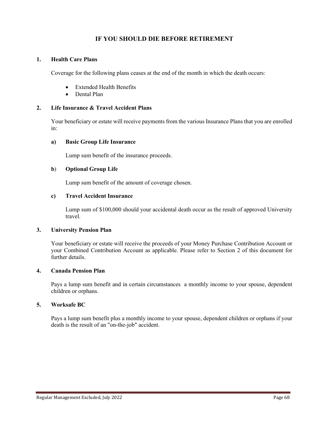# **IF YOU SHOULD DIE BEFORE RETIREMENT**

## **1. Health Care Plans**

Coverage for the following plans ceases at the end of the month in which the death occurs:

- Extended Health Benefits
- Dental Plan

## **2. Life Insurance & Travel Accident Plans**

Your beneficiary or estate will receive payments from the various Insurance Plans that you are enrolled in:

### **a) Basic Group Life Insurance**

Lump sum benefit of the insurance proceeds.

## **b**) **Optional Group Life**

Lump sum benefit of the amount of coverage chosen.

## **c) Travel Accident Insurance**

Lump sum of \$100,000 should your accidental death occur as the result of approved University travel.

### **3. University Pension Plan**

Your beneficiary or estate will receive the proceeds of your Money Purchase Contribution Account or your Combined Contribution Account as applicable. Please refer to Section 2 of this document for further details.

#### **4. Canada Pension Plan**

Pays a lump sum benefit and in certain circumstances a monthly income to your spouse, dependent children or orphans.

## **5. Worksafe BC**

Pays a lump sum benefit plus a monthly income to your spouse, dependent children or orphans if your death is the result of an "on-the-job" accident.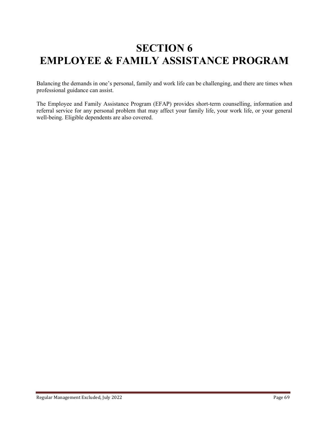# **SECTION 6 EMPLOYEE & FAMILY ASSISTANCE PROGRAM**

Balancing the demands in one's personal, family and work life can be challenging, and there are times when professional guidance can assist.

The Employee and Family Assistance Program (EFAP) provides short-term counselling, information and referral service for any personal problem that may affect your family life, your work life, or your general well-being. Eligible dependents are also covered.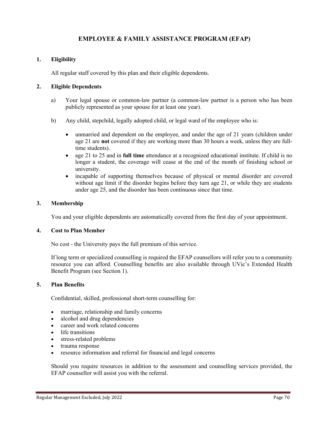# **EMPLOYEE & FAMILY ASSISTANCE PROGRAM (EFAP)**

## **1. Eligibility**

All regular staff covered by this plan and their eligible dependents.

## **2. Eligible Dependents**

- a) Your legal spouse or common-law partner (a common-law partner is a person who has been publicly represented as your spouse for at least one year).
- b) Any child, stepchild, legally adopted child, or legal ward of the employee who is:
	- unmarried and dependent on the employee, and under the age of 21 years (children under age 21 are **not** covered if they are working more than 30 hours a week, unless they are fulltime students).
	- age 21 to 25 and in **full time** attendance at a recognized educational institute. If child is no longer a student, the coverage will cease at the end of the month of finishing school or university.
	- incapable of supporting themselves because of physical or mental disorder are covered without age limit if the disorder begins before they turn age 21, or while they are students under age 25, and the disorder has been continuous since that time.

## **3. Membership**

You and your eligible dependents are automatically covered from the first day of your appointment.

## **4. Cost to Plan Member**

No cost - the University pays the full premium of this service.

If long term or specialized counselling is required the EFAP counsellors will refer you to a community resource you can afford. Counselling benefits are also available through UVic's Extended Health Benefit Program (see Section 1).

## **5. Plan Benefits**

Confidential, skilled, professional short-term counselling for:

- marriage, relationship and family concerns
- alcohol and drug dependencies
- career and work related concerns
- life transitions
- stress-related problems
- trauma response
- resource information and referral for financial and legal concerns

Should you require resources in addition to the assessment and counselling services provided, the EFAP counsellor will assist you with the referral.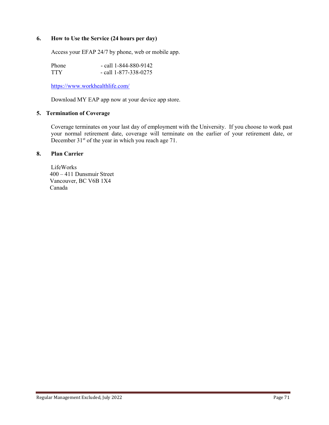## **6. How to Use the Service (24 hours per day)**

Access your EFAP 24/7 by phone, web or mobile app.

Phone - call 1-844-880-9142<br>TTY - call 1-877-338-0275  $-$  call 1-877-338-0275

<https://www.workhealthlife.com/>

Download MY EAP app now at your device app store.

## **5. Termination of Coverage**

Coverage terminates on your last day of employment with the University. If you choose to work past your normal retirement date, coverage will terminate on the earlier of your retirement date, or December  $31<sup>st</sup>$  of the year in which you reach age 71.

## **8. Plan Carrier**

LifeWorks 400 – 411 Dunsmuir Street Vancouver, BC V6B 1X4 Canada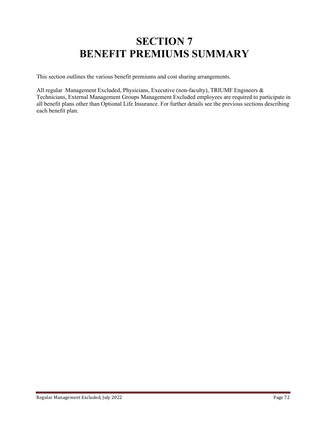# **SECTION 7 BENEFIT PREMIUMS SUMMARY**

This section outlines the various benefit premiums and cost sharing arrangements.

All regular Management Excluded, Physicians, Executive (non-faculty), TRIUMF Engineers & Technicians, External Management Groups Management Excluded employees are required to participate in all benefit plans other than Optional Life Insurance. For further details see the previous sections describing each benefit plan.